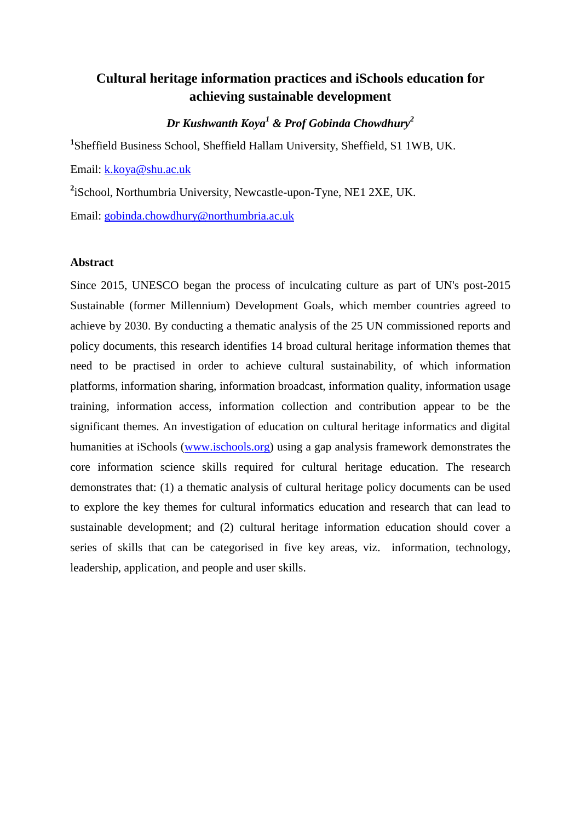# **Cultural heritage information practices and iSchools education for achieving sustainable development**

*Dr Kushwanth Koya<sup>1</sup> & Prof Gobinda Chowdhury<sup>2</sup>*

**1** Sheffield Business School, Sheffield Hallam University, Sheffield, S1 1WB, UK.

Email: [k.koya@shu.ac.uk](mailto:k.koya@shu.ac.uk)

**2** iSchool, Northumbria University, Newcastle-upon-Tyne, NE1 2XE, UK.

Email: [gobinda.chowdhury@northumbria.ac.uk](mailto:gobinda.chowdhury@northumbria.ac.uk)

### **Abstract**

Since 2015, UNESCO began the process of inculcating culture as part of UN's post-2015 Sustainable (former Millennium) Development Goals, which member countries agreed to achieve by 2030. By conducting a thematic analysis of the 25 UN commissioned reports and policy documents, this research identifies 14 broad cultural heritage information themes that need to be practised in order to achieve cultural sustainability, of which information platforms, information sharing, information broadcast, information quality, information usage training, information access, information collection and contribution appear to be the significant themes. An investigation of education on cultural heritage informatics and digital humanities at iSchools [\(www.ischools.org\)](http://www.ischools.org/) using a gap analysis framework demonstrates the core information science skills required for cultural heritage education. The research demonstrates that: (1) a thematic analysis of cultural heritage policy documents can be used to explore the key themes for cultural informatics education and research that can lead to sustainable development; and (2) cultural heritage information education should cover a series of skills that can be categorised in five key areas, viz. information, technology, leadership, application, and people and user skills.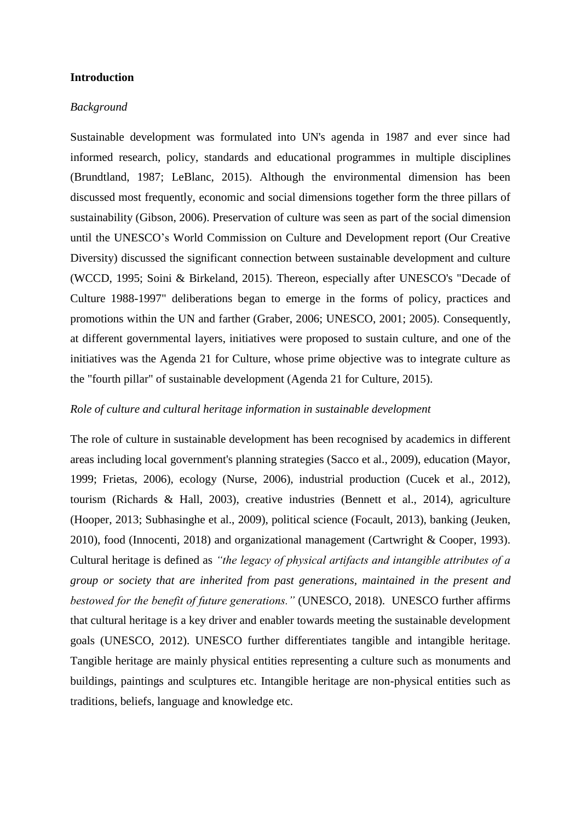### **Introduction**

#### *Background*

Sustainable development was formulated into UN's agenda in 1987 and ever since had informed research, policy, standards and educational programmes in multiple disciplines (Brundtland, 1987; LeBlanc, 2015). Although the environmental dimension has been discussed most frequently, economic and social dimensions together form the three pillars of sustainability (Gibson, 2006). Preservation of culture was seen as part of the social dimension until the UNESCO's World Commission on Culture and Development report (Our Creative Diversity) discussed the significant connection between sustainable development and culture (WCCD, 1995; Soini & Birkeland, 2015). Thereon, especially after UNESCO's "Decade of Culture 1988-1997" deliberations began to emerge in the forms of policy, practices and promotions within the UN and farther (Graber, 2006; UNESCO, 2001; 2005). Consequently, at different governmental layers, initiatives were proposed to sustain culture, and one of the initiatives was the Agenda 21 for Culture, whose prime objective was to integrate culture as the "fourth pillar" of sustainable development (Agenda 21 for Culture, 2015).

#### *Role of culture and cultural heritage information in sustainable development*

The role of culture in sustainable development has been recognised by academics in different areas including local government's planning strategies (Sacco et al., 2009), education (Mayor, 1999; Frietas, 2006), ecology (Nurse, 2006), industrial production (Cucek et al., 2012), tourism (Richards & Hall, 2003), creative industries (Bennett et al., 2014), agriculture (Hooper, 2013; Subhasinghe et al., 2009), political science (Focault, 2013), banking (Jeuken, 2010), food (Innocenti, 2018) and organizational management (Cartwright & Cooper, 1993). Cultural heritage is defined as *"the legacy of physical artifacts and intangible attributes of a group or society that are inherited from past generations, maintained in the present and bestowed for the benefit of future generations."* (UNESCO, 2018). UNESCO further affirms that cultural heritage is a key driver and enabler towards meeting the sustainable development goals (UNESCO, 2012). UNESCO further differentiates tangible and intangible heritage. Tangible heritage are mainly physical entities representing a culture such as monuments and buildings, paintings and sculptures etc. Intangible heritage are non-physical entities such as traditions, beliefs, language and knowledge etc.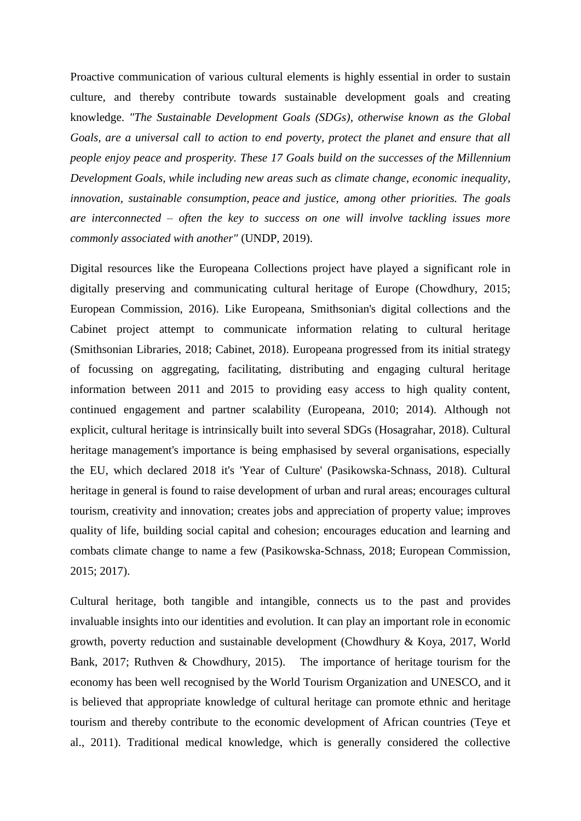Proactive communication of various cultural elements is highly essential in order to sustain culture, and thereby contribute towards sustainable development goals and creating knowledge. *"The Sustainable Development Goals (SDGs), otherwise known as the Global Goals, are a universal call to action to end poverty, protect the planet and ensure that all people enjoy peace and prosperity. These 17 Goals build on the successes of the [Millennium](http://www.undp.org/content/undp/en/home/sustainable-development-goals/background.html)  [Development](http://www.undp.org/content/undp/en/home/sustainable-development-goals/background.html) Goals, while including new areas such as climate change, economic inequality, innovation, sustainable consumption, peace and justice, among other priorities. The goals are interconnected – often the key to success on one will involve tackling issues more commonly associated with another"* (UNDP, 2019).

Digital resources like the Europeana Collections project have played a significant role in digitally preserving and communicating cultural heritage of Europe (Chowdhury, 2015; European Commission, 2016). Like Europeana, Smithsonian's digital collections and the Cabinet project attempt to communicate information relating to cultural heritage (Smithsonian Libraries, 2018; Cabinet, 2018). Europeana progressed from its initial strategy of focussing on aggregating, facilitating, distributing and engaging cultural heritage information between 2011 and 2015 to providing easy access to high quality content, continued engagement and partner scalability (Europeana, 2010; 2014). Although not explicit, cultural heritage is intrinsically built into several SDGs (Hosagrahar, 2018). Cultural heritage management's importance is being emphasised by several organisations, especially the EU, which declared 2018 it's 'Year of Culture' (Pasikowska-Schnass, 2018). Cultural heritage in general is found to raise development of urban and rural areas; encourages cultural tourism, creativity and innovation; creates jobs and appreciation of property value; improves quality of life, building social capital and cohesion; encourages education and learning and combats climate change to name a few (Pasikowska-Schnass, 2018; European Commission, 2015; 2017).

Cultural heritage, both tangible and intangible, connects us to the past and provides invaluable insights into our identities and evolution. It can play an important role in economic growth, poverty reduction and sustainable development (Chowdhury & Koya, 2017, World Bank, 2017; Ruthven & Chowdhury, 2015). The importance of heritage tourism for the economy has been well recognised by the World Tourism Organization and UNESCO, and it is believed that appropriate knowledge of cultural heritage can promote ethnic and heritage tourism and thereby contribute to the economic development of African countries (Teye et al., 2011). Traditional medical knowledge, which is generally considered the collective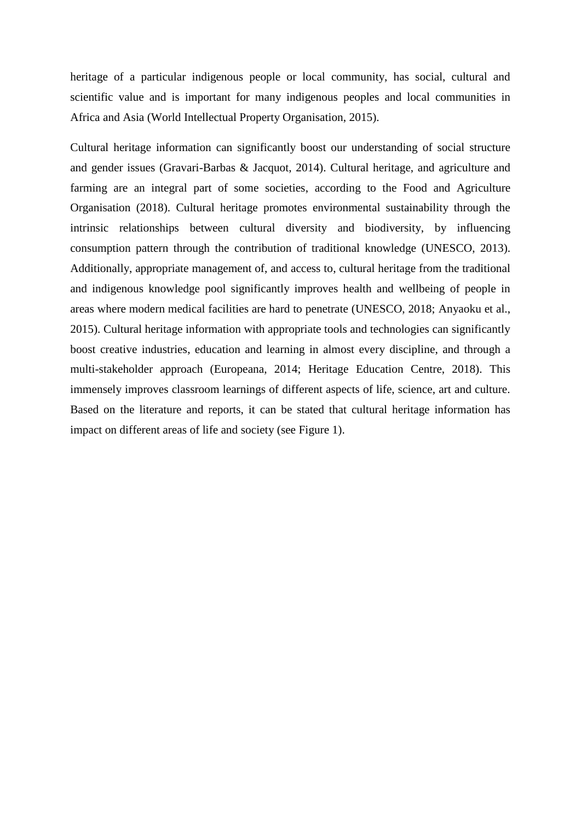heritage of a particular indigenous people or local community, has social, cultural and scientific value and is important for many indigenous peoples and local communities in Africa and Asia (World Intellectual Property Organisation, 2015).

Cultural heritage information can significantly boost our understanding of social structure and gender issues (Gravari-Barbas & Jacquot, 2014). Cultural heritage, and agriculture and farming are an integral part of some societies, according to the Food and Agriculture Organisation (2018). Cultural heritage promotes environmental sustainability through the intrinsic relationships between cultural diversity and biodiversity, by influencing consumption pattern through the contribution of traditional knowledge (UNESCO, 2013). Additionally, appropriate management of, and access to, cultural heritage from the traditional and indigenous knowledge pool significantly improves health and wellbeing of people in areas where modern medical facilities are hard to penetrate (UNESCO, 2018; Anyaoku et al., 2015). Cultural heritage information with appropriate tools and technologies can significantly boost creative industries, education and learning in almost every discipline, and through a multi-stakeholder approach (Europeana, 2014; Heritage Education Centre, 2018). This immensely improves classroom learnings of different aspects of life, science, art and culture. Based on the literature and reports, it can be stated that cultural heritage information has impact on different areas of life and society (see Figure 1).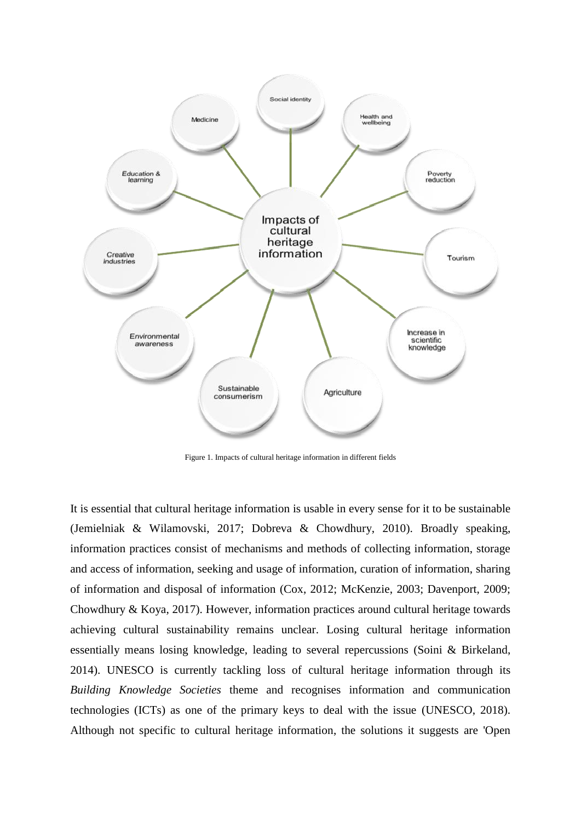

Figure 1. Impacts of cultural heritage information in different fields

It is essential that cultural heritage information is usable in every sense for it to be sustainable (Jemielniak & Wilamovski, 2017; Dobreva & Chowdhury, 2010). Broadly speaking, information practices consist of mechanisms and methods of collecting information, storage and access of information, seeking and usage of information, curation of information, sharing of information and disposal of information (Cox, 2012; McKenzie, 2003; Davenport, 2009; Chowdhury & Koya, 2017). However, information practices around cultural heritage towards achieving cultural sustainability remains unclear. Losing cultural heritage information essentially means losing knowledge, leading to several repercussions (Soini & Birkeland, 2014). UNESCO is currently tackling loss of cultural heritage information through its *Building Knowledge Societies* theme and recognises information and communication technologies (ICTs) as one of the primary keys to deal with the issue (UNESCO, 2018). Although not specific to cultural heritage information, the solutions it suggests are 'Open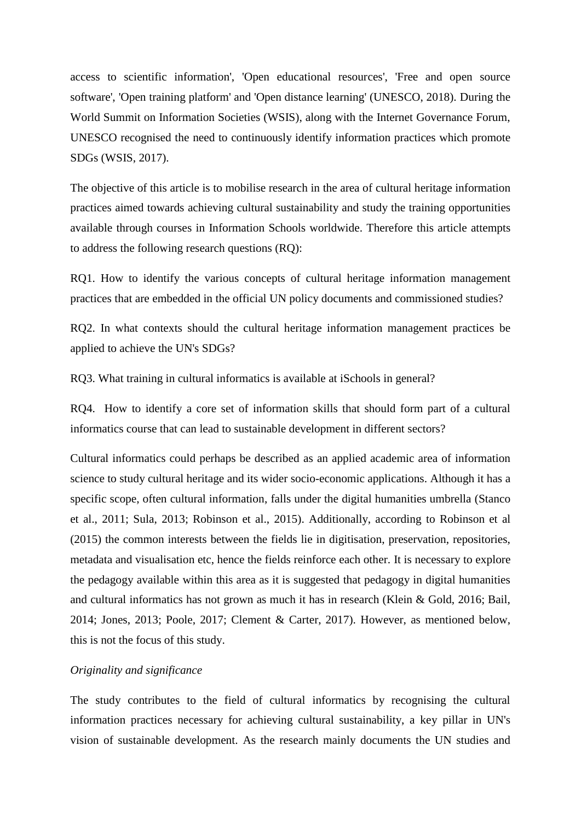access to scientific information', 'Open educational resources', 'Free and open source software', 'Open training platform' and 'Open distance learning' (UNESCO, 2018). During the World Summit on Information Societies (WSIS), along with the Internet Governance Forum, UNESCO recognised the need to continuously identify information practices which promote SDGs (WSIS, 2017).

The objective of this article is to mobilise research in the area of cultural heritage information practices aimed towards achieving cultural sustainability and study the training opportunities available through courses in Information Schools worldwide. Therefore this article attempts to address the following research questions (RQ):

RQ1. How to identify the various concepts of cultural heritage information management practices that are embedded in the official UN policy documents and commissioned studies?

RQ2. In what contexts should the cultural heritage information management practices be applied to achieve the UN's SDGs?

RQ3. What training in cultural informatics is available at iSchools in general?

RQ4. How to identify a core set of information skills that should form part of a cultural informatics course that can lead to sustainable development in different sectors?

Cultural informatics could perhaps be described as an applied academic area of information science to study cultural heritage and its wider socio-economic applications. Although it has a specific scope, often cultural information, falls under the digital humanities umbrella (Stanco et al., 2011; Sula, 2013; Robinson et al., 2015). Additionally, according to Robinson et al (2015) the common interests between the fields lie in digitisation, preservation, repositories, metadata and visualisation etc, hence the fields reinforce each other. It is necessary to explore the pedagogy available within this area as it is suggested that pedagogy in digital humanities and cultural informatics has not grown as much it has in research (Klein & Gold, 2016; Bail, 2014; Jones, 2013; Poole, 2017; Clement & Carter, 2017). However, as mentioned below, this is not the focus of this study.

### *Originality and significance*

The study contributes to the field of cultural informatics by recognising the cultural information practices necessary for achieving cultural sustainability, a key pillar in UN's vision of sustainable development. As the research mainly documents the UN studies and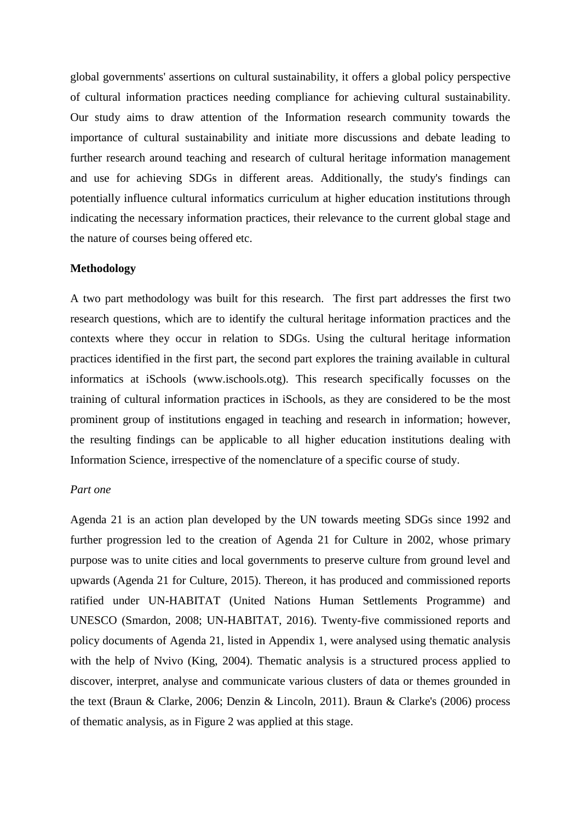global governments' assertions on cultural sustainability, it offers a global policy perspective of cultural information practices needing compliance for achieving cultural sustainability. Our study aims to draw attention of the Information research community towards the importance of cultural sustainability and initiate more discussions and debate leading to further research around teaching and research of cultural heritage information management and use for achieving SDGs in different areas. Additionally, the study's findings can potentially influence cultural informatics curriculum at higher education institutions through indicating the necessary information practices, their relevance to the current global stage and the nature of courses being offered etc.

#### **Methodology**

A two part methodology was built for this research. The first part addresses the first two research questions, which are to identify the cultural heritage information practices and the contexts where they occur in relation to SDGs. Using the cultural heritage information practices identified in the first part, the second part explores the training available in cultural informatics at iSchools (www.ischools.otg). This research specifically focusses on the training of cultural information practices in iSchools, as they are considered to be the most prominent group of institutions engaged in teaching and research in information; however, the resulting findings can be applicable to all higher education institutions dealing with Information Science, irrespective of the nomenclature of a specific course of study.

#### *Part one*

Agenda 21 is an action plan developed by the UN towards meeting SDGs since 1992 and further progression led to the creation of Agenda 21 for Culture in 2002, whose primary purpose was to unite cities and local governments to preserve culture from ground level and upwards (Agenda 21 for Culture, 2015). Thereon, it has produced and commissioned reports ratified under UN-HABITAT (United Nations Human Settlements Programme) and UNESCO (Smardon, 2008; UN-HABITAT, 2016). Twenty-five commissioned reports and policy documents of Agenda 21, listed in Appendix 1, were analysed using thematic analysis with the help of Nvivo (King, 2004). Thematic analysis is a structured process applied to discover, interpret, analyse and communicate various clusters of data or themes grounded in the text (Braun & Clarke, 2006; Denzin & Lincoln, 2011). Braun & Clarke's (2006) process of thematic analysis, as in Figure 2 was applied at this stage.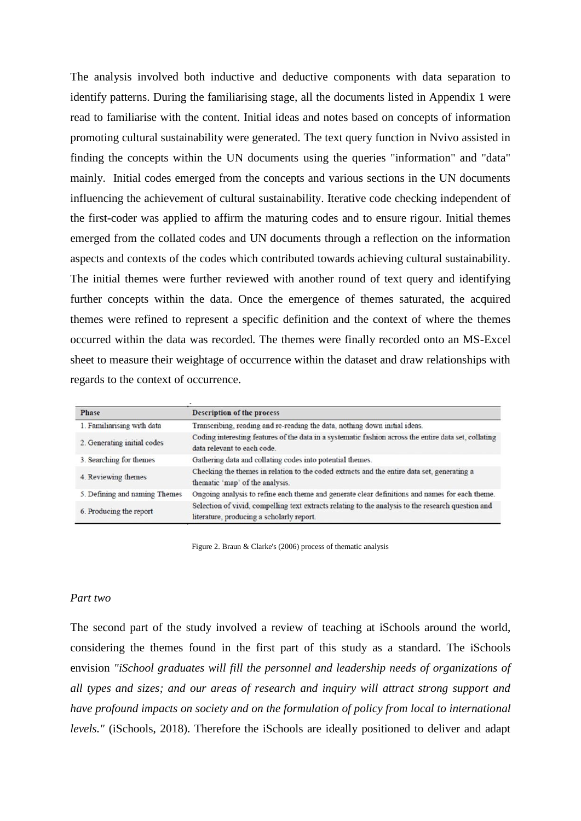The analysis involved both inductive and deductive components with data separation to identify patterns. During the familiarising stage, all the documents listed in Appendix 1 were read to familiarise with the content. Initial ideas and notes based on concepts of information promoting cultural sustainability were generated. The text query function in Nvivo assisted in finding the concepts within the UN documents using the queries "information" and "data" mainly. Initial codes emerged from the concepts and various sections in the UN documents influencing the achievement of cultural sustainability. Iterative code checking independent of the first-coder was applied to affirm the maturing codes and to ensure rigour. Initial themes emerged from the collated codes and UN documents through a reflection on the information aspects and contexts of the codes which contributed towards achieving cultural sustainability. The initial themes were further reviewed with another round of text query and identifying further concepts within the data. Once the emergence of themes saturated, the acquired themes were refined to represent a specific definition and the context of where the themes occurred within the data was recorded. The themes were finally recorded onto an MS-Excel sheet to measure their weightage of occurrence within the dataset and draw relationships with regards to the context of occurrence.

| Phase                         | <b>Description of the process</b>                                                                                                               |  |
|-------------------------------|-------------------------------------------------------------------------------------------------------------------------------------------------|--|
| 1. Familiarising with data    | Transcribing, reading and re-reading the data, nothing down initial ideas.                                                                      |  |
| 2. Generating initial codes   | Coding interesting features of the data in a systematic fashion across the entire data set, collating<br>data relevant to each code.            |  |
| 3. Searching for themes       | Gathering data and collating codes into potential themes.                                                                                       |  |
| 4. Reviewing themes           | Checking the themes in relation to the coded extracts and the entire data set, generating a<br>thematic 'map' of the analysis.                  |  |
| 5. Defining and naming Themes | Ongoing analysis to refine each theme and generate clear definitions and names for each theme.                                                  |  |
| 6. Producing the report       | Selection of vivid, compelling text extracts relating to the analysis to the research question and<br>literature, producing a scholarly report. |  |

Figure 2. Braun & Clarke's (2006) process of thematic analysis

#### *Part two*

The second part of the study involved a review of teaching at iSchools around the world, considering the themes found in the first part of this study as a standard. The iSchools envision *"iSchool graduates will fill the personnel and leadership needs of organizations of all types and sizes; and our areas of research and inquiry will attract strong support and have profound impacts on society and on the formulation of policy from local to international levels."* (iSchools, 2018). Therefore the iSchools are ideally positioned to deliver and adapt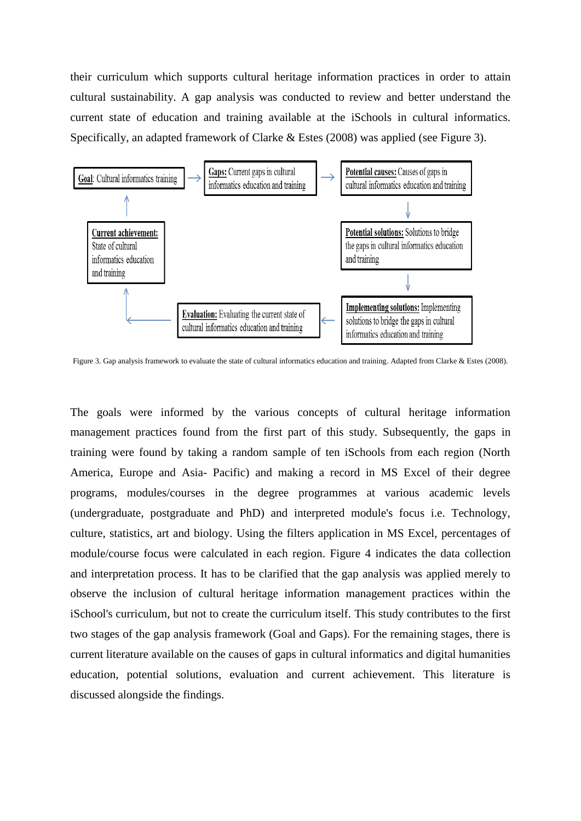their curriculum which supports cultural heritage information practices in order to attain cultural sustainability. A gap analysis was conducted to review and better understand the current state of education and training available at the iSchools in cultural informatics. Specifically, an adapted framework of Clarke & Estes (2008) was applied (see Figure 3).



Figure 3. Gap analysis framework to evaluate the state of cultural informatics education and training. Adapted from Clarke & Estes (2008).

The goals were informed by the various concepts of cultural heritage information management practices found from the first part of this study. Subsequently, the gaps in training were found by taking a random sample of ten iSchools from each region (North America, Europe and Asia- Pacific) and making a record in MS Excel of their degree programs, modules/courses in the degree programmes at various academic levels (undergraduate, postgraduate and PhD) and interpreted module's focus i.e. Technology, culture, statistics, art and biology. Using the filters application in MS Excel, percentages of module/course focus were calculated in each region. Figure 4 indicates the data collection and interpretation process. It has to be clarified that the gap analysis was applied merely to observe the inclusion of cultural heritage information management practices within the iSchool's curriculum, but not to create the curriculum itself. This study contributes to the first two stages of the gap analysis framework (Goal and Gaps). For the remaining stages, there is current literature available on the causes of gaps in cultural informatics and digital humanities education, potential solutions, evaluation and current achievement. This literature is discussed alongside the findings.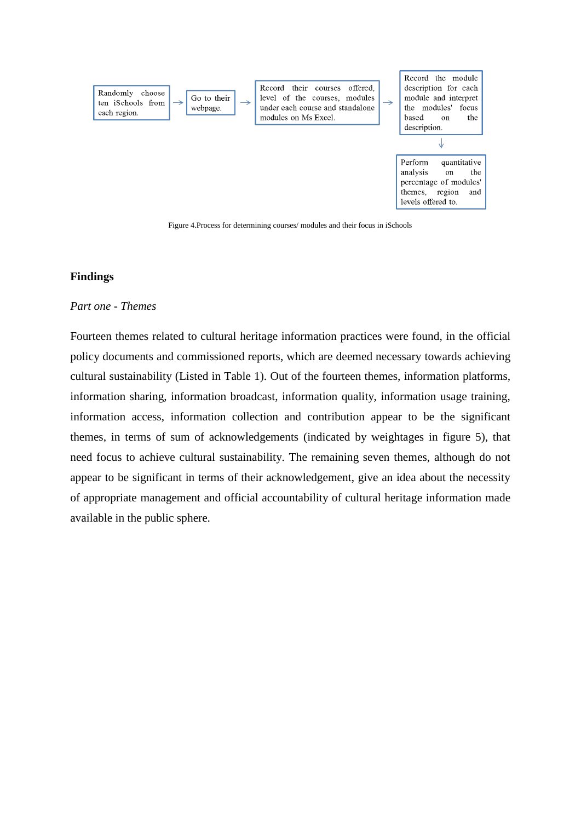

### **Findings**

#### *Part one - Themes*

Fourteen themes related to cultural heritage information practices were found, in the official policy documents and commissioned reports, which are deemed necessary towards achieving cultural sustainability (Listed in Table 1). Out of the fourteen themes, information platforms, information sharing, information broadcast, information quality, information usage training, information access, information collection and contribution appear to be the significant themes, in terms of sum of acknowledgements (indicated by weightages in figure 5), that need focus to achieve cultural sustainability. The remaining seven themes, although do not appear to be significant in terms of their acknowledgement, give an idea about the necessity of appropriate management and official accountability of cultural heritage information made available in the public sphere.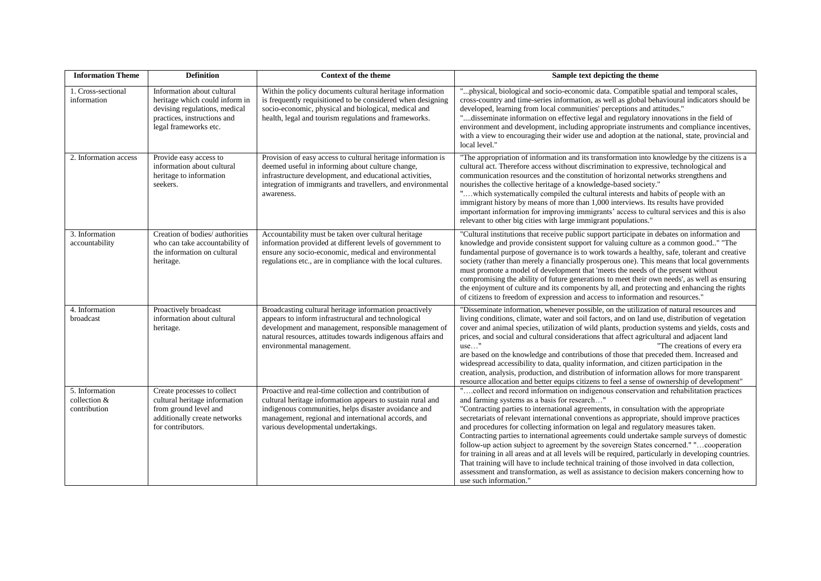| <b>Information Theme</b>                       | <b>Definition</b>                                                                                                                                     | <b>Context of the theme</b>                                                                                                                                                                                                                                                | Sample text depicting the theme                                                                                                                                                                                                                                                                                                                                                                                                                                                                                                                                                                                                                                                                                                                                                                                                                                                                                                            |  |
|------------------------------------------------|-------------------------------------------------------------------------------------------------------------------------------------------------------|----------------------------------------------------------------------------------------------------------------------------------------------------------------------------------------------------------------------------------------------------------------------------|--------------------------------------------------------------------------------------------------------------------------------------------------------------------------------------------------------------------------------------------------------------------------------------------------------------------------------------------------------------------------------------------------------------------------------------------------------------------------------------------------------------------------------------------------------------------------------------------------------------------------------------------------------------------------------------------------------------------------------------------------------------------------------------------------------------------------------------------------------------------------------------------------------------------------------------------|--|
| 1. Cross-sectional<br>information              | Information about cultural<br>heritage which could inform in<br>devising regulations, medical<br>practices, instructions and<br>legal frameworks etc. | Within the policy documents cultural heritage information<br>is frequently requisitioned to be considered when designing<br>socio-economic, physical and biological, medical and<br>health, legal and tourism regulations and frameworks.                                  | "physical, biological and socio-economic data. Compatible spatial and temporal scales,<br>cross-country and time-series information, as well as global behavioural indicators should be<br>developed, learning from local communities' perceptions and attitudes."<br>'disseminate information on effective legal and regulatory innovations in the field of<br>environment and development, including appropriate instruments and compliance incentives,<br>with a view to encouraging their wider use and adoption at the national, state, provincial and<br>local level."                                                                                                                                                                                                                                                                                                                                                               |  |
| 2. Information access                          | Provide easy access to<br>information about cultural<br>heritage to information<br>seekers.                                                           | Provision of easy access to cultural heritage information is<br>deemed useful in informing about culture change,<br>infrastructure development, and educational activities,<br>integration of immigrants and travellers, and environmental<br>awareness.                   | "The appropriation of information and its transformation into knowledge by the citizens is a<br>cultural act. Therefore access without discrimination to expressive, technological and<br>communication resources and the constitution of horizontal networks strengthens and<br>nourishes the collective heritage of a knowledge-based society."<br>"which systematically compiled the cultural interests and habits of people with an<br>immigrant history by means of more than 1,000 interviews. Its results have provided<br>important information for improving immigrants' access to cultural services and this is also<br>relevant to other big cities with large immigrant populations."                                                                                                                                                                                                                                          |  |
| 3. Information<br>accountability               | Creation of bodies/authorities<br>who can take accountability of<br>the information on cultural<br>heritage.                                          | Accountability must be taken over cultural heritage<br>information provided at different levels of government to<br>ensure any socio-economic, medical and environmental<br>regulations etc., are in compliance with the local cultures.                                   | "Cultural institutions that receive public support participate in debates on information and<br>knowledge and provide consistent support for valuing culture as a common good" "The<br>fundamental purpose of governance is to work towards a healthy, safe, tolerant and creative<br>society (rather than merely a financially prosperous one). This means that local governments<br>must promote a model of development that 'meets the needs of the present without<br>compromising the ability of future generations to meet their own needs', as well as ensuring<br>the enjoyment of culture and its components by all, and protecting and enhancing the rights<br>of citizens to freedom of expression and access to information and resources."                                                                                                                                                                                    |  |
| 4. Information<br>broadcast                    | Proactively broadcast<br>information about cultural<br>heritage.                                                                                      | Broadcasting cultural heritage information proactively<br>appears to inform infrastructural and technological<br>development and management, responsible management of<br>natural resources, attitudes towards indigenous affairs and<br>environmental management.         | "Disseminate information, whenever possible, on the utilization of natural resources and<br>living conditions, climate, water and soil factors, and on land use, distribution of vegetation<br>cover and animal species, utilization of wild plants, production systems and yields, costs and<br>prices, and social and cultural considerations that affect agricultural and adjacent land<br>$use$ "<br>"The creations of every era<br>are based on the knowledge and contributions of those that preceded them. Increased and<br>widespread accessibility to data, quality information, and citizen participation in the<br>creation, analysis, production, and distribution of information allows for more transparent<br>resource allocation and better equips citizens to feel a sense of ownership of development"                                                                                                                   |  |
| 5. Information<br>collection &<br>contribution | Create processes to collect<br>cultural heritage information<br>from ground level and<br>additionally create networks<br>for contributors.            | Proactive and real-time collection and contribution of<br>cultural heritage information appears to sustain rural and<br>indigenous communities, helps disaster avoidance and<br>management, regional and international accords, and<br>various developmental undertakings. | "collect and record information on indigenous conservation and rehabilitation practices<br>and farming systems as a basis for research"<br>"Contracting parties to international agreements, in consultation with the appropriate<br>secretariats of relevant international conventions as appropriate, should improve practices<br>and procedures for collecting information on legal and regulatory measures taken.<br>Contracting parties to international agreements could undertake sample surveys of domestic<br>follow-up action subject to agreement by the sovereign States concerned." "cooperation<br>for training in all areas and at all levels will be required, particularly in developing countries.<br>That training will have to include technical training of those involved in data collection,<br>assessment and transformation, as well as assistance to decision makers concerning how to<br>use such information." |  |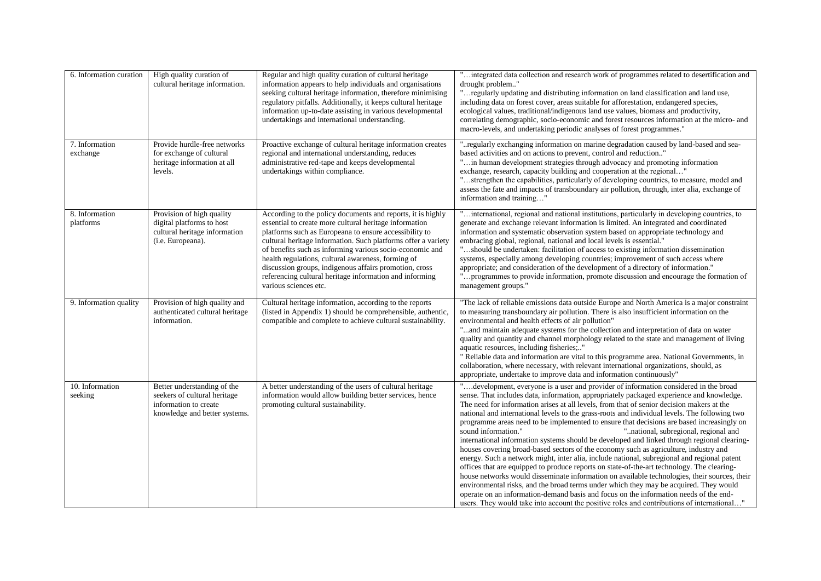| 6. Information curation     | High quality curation of<br>cultural heritage information.                                                            | Regular and high quality curation of cultural heritage<br>information appears to help individuals and organisations<br>seeking cultural heritage information, therefore minimising<br>regulatory pitfalls. Additionally, it keeps cultural heritage<br>information up-to-date assisting in various developmental<br>undertakings and international understanding.                                                                                                                                                | "integrated data collection and research work of programmes related to desertification and<br>drought problem"<br>"regularly updating and distributing information on land classification and land use,<br>including data on forest cover, areas suitable for afforestation, endangered species,<br>ecological values, traditional/indigenous land use values, biomass and productivity,<br>correlating demographic, socio-economic and forest resources information at the micro- and<br>macro-levels, and undertaking periodic analyses of forest programmes."                                                                                                                                                                                                                                                                                                                                                                                                                                                                                                                                                                                                                                                                                                                                               |
|-----------------------------|-----------------------------------------------------------------------------------------------------------------------|------------------------------------------------------------------------------------------------------------------------------------------------------------------------------------------------------------------------------------------------------------------------------------------------------------------------------------------------------------------------------------------------------------------------------------------------------------------------------------------------------------------|----------------------------------------------------------------------------------------------------------------------------------------------------------------------------------------------------------------------------------------------------------------------------------------------------------------------------------------------------------------------------------------------------------------------------------------------------------------------------------------------------------------------------------------------------------------------------------------------------------------------------------------------------------------------------------------------------------------------------------------------------------------------------------------------------------------------------------------------------------------------------------------------------------------------------------------------------------------------------------------------------------------------------------------------------------------------------------------------------------------------------------------------------------------------------------------------------------------------------------------------------------------------------------------------------------------|
| 7. Information<br>exchange  | Provide hurdle-free networks<br>for exchange of cultural<br>heritage information at all<br>levels.                    | Proactive exchange of cultural heritage information creates<br>regional and international understanding, reduces<br>administrative red-tape and keeps developmental<br>undertakings within compliance.                                                                                                                                                                                                                                                                                                           | "regularly exchanging information on marine degradation caused by land-based and sea-<br>based activities and on actions to prevent, control and reduction"<br>" in human development strategies through advocacy and promoting information<br>exchange, research, capacity building and cooperation at the regional"<br>"strengthen the capabilities, particularly of developing countries, to measure, model and<br>assess the fate and impacts of transboundary air pollution, through, inter alia, exchange of<br>information and training"                                                                                                                                                                                                                                                                                                                                                                                                                                                                                                                                                                                                                                                                                                                                                                |
| 8. Information<br>platforms | Provision of high quality<br>digital platforms to host<br>cultural heritage information<br>(i.e. Europeana).          | According to the policy documents and reports, it is highly<br>essential to create more cultural heritage information<br>platforms such as Europeana to ensure accessibility to<br>cultural heritage information. Such platforms offer a variety<br>of benefits such as informing various socio-economic and<br>health regulations, cultural awareness, forming of<br>discussion groups, indigenous affairs promotion, cross<br>referencing cultural heritage information and informing<br>various sciences etc. | "international, regional and national institutions, particularly in developing countries, to<br>generate and exchange relevant information is limited. An integrated and coordinated<br>information and systematic observation system based on appropriate technology and<br>embracing global, regional, national and local levels is essential."<br>"should be undertaken: facilitation of access to existing information dissemination<br>systems, especially among developing countries; improvement of such access where<br>appropriate; and consideration of the development of a directory of information."<br>"programmes to provide information, promote discussion and encourage the formation of<br>management groups."                                                                                                                                                                                                                                                                                                                                                                                                                                                                                                                                                                              |
| 9. Information quality      | Provision of high quality and<br>authenticated cultural heritage<br>information.                                      | Cultural heritage information, according to the reports<br>(listed in Appendix 1) should be comprehensible, authentic,<br>compatible and complete to achieve cultural sustainability.                                                                                                                                                                                                                                                                                                                            | "The lack of reliable emissions data outside Europe and North America is a major constraint<br>to measuring transboundary air pollution. There is also insufficient information on the<br>environmental and health effects of air pollution"<br>"and maintain adequate systems for the collection and interpretation of data on water<br>quality and quantity and channel morphology related to the state and management of living<br>aquatic resources, including fisheries;"<br>" Reliable data and information are vital to this programme area. National Governments, in<br>collaboration, where necessary, with relevant international organizations, should, as<br>appropriate, undertake to improve data and information continuously"                                                                                                                                                                                                                                                                                                                                                                                                                                                                                                                                                                  |
| 10. Information<br>seeking  | Better understanding of the<br>seekers of cultural heritage<br>information to create<br>knowledge and better systems. | A better understanding of the users of cultural heritage<br>information would allow building better services, hence<br>promoting cultural sustainability.                                                                                                                                                                                                                                                                                                                                                        | "development, everyone is a user and provider of information considered in the broad<br>sense. That includes data, information, appropriately packaged experience and knowledge.<br>The need for information arises at all levels, from that of senior decision makers at the<br>national and international levels to the grass-roots and individual levels. The following two<br>programme areas need to be implemented to ensure that decisions are based increasingly on<br>sound information."<br>"national, subregional, regional and<br>international information systems should be developed and linked through regional clearing-<br>houses covering broad-based sectors of the economy such as agriculture, industry and<br>energy. Such a network might, inter alia, include national, subregional and regional patent<br>offices that are equipped to produce reports on state-of-the-art technology. The clearing-<br>house networks would disseminate information on available technologies, their sources, their<br>environmental risks, and the broad terms under which they may be acquired. They would<br>operate on an information-demand basis and focus on the information needs of the end-<br>users. They would take into account the positive roles and contributions of international" |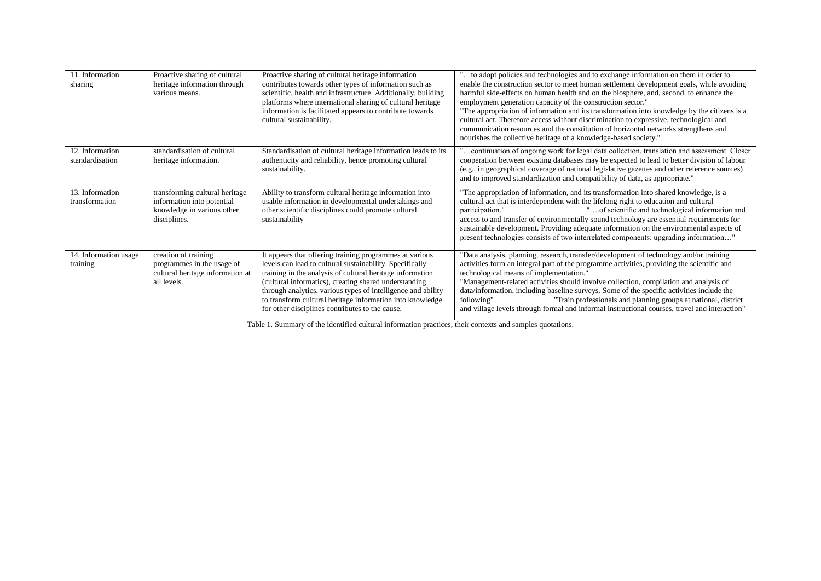| 11. Information<br>sharing         | Proactive sharing of cultural<br>heritage information through<br>various means.                            | Proactive sharing of cultural heritage information<br>contributes towards other types of information such as<br>scientific, health and infrastructure. Additionally, building<br>platforms where international sharing of cultural heritage<br>information is facilitated appears to contribute towards<br>cultural sustainability.                                                                                       | "to adopt policies and technologies and to exchange information on them in order to<br>enable the construction sector to meet human settlement development goals, while avoiding<br>harmful side-effects on human health and on the biosphere, and, second, to enhance the<br>employment generation capacity of the construction sector."<br>"The appropriation of information and its transformation into knowledge by the citizens is a<br>cultural act. Therefore access without discrimination to expressive, technological and<br>communication resources and the constitution of horizontal networks strengthens and<br>nourishes the collective heritage of a knowledge-based society." |
|------------------------------------|------------------------------------------------------------------------------------------------------------|---------------------------------------------------------------------------------------------------------------------------------------------------------------------------------------------------------------------------------------------------------------------------------------------------------------------------------------------------------------------------------------------------------------------------|------------------------------------------------------------------------------------------------------------------------------------------------------------------------------------------------------------------------------------------------------------------------------------------------------------------------------------------------------------------------------------------------------------------------------------------------------------------------------------------------------------------------------------------------------------------------------------------------------------------------------------------------------------------------------------------------|
| 12. Information<br>standardisation | standardisation of cultural<br>heritage information.                                                       | Standardisation of cultural heritage information leads to its<br>authenticity and reliability, hence promoting cultural<br>sustainability.                                                                                                                                                                                                                                                                                | 'continuation of ongoing work for legal data collection, translation and assessment. Closer<br>cooperation between existing databases may be expected to lead to better division of labour<br>(e.g., in geographical coverage of national legislative gazettes and other reference sources)<br>and to improved standardization and compatibility of data, as appropriate."                                                                                                                                                                                                                                                                                                                     |
| 13. Information<br>transformation  | transforming cultural heritage<br>information into potential<br>knowledge in various other<br>disciplines. | Ability to transform cultural heritage information into<br>usable information in developmental undertakings and<br>other scientific disciplines could promote cultural<br>sustainability                                                                                                                                                                                                                                  | "The appropriation of information, and its transformation into shared knowledge, is a<br>cultural act that is interdependent with the lifelong right to education and cultural<br>"of scientific and technological information and<br>participation."<br>access to and transfer of environmentally sound technology are essential requirements for<br>sustainable development. Providing adequate information on the environmental aspects of<br>present technologies consists of two interrelated components: upgrading information"                                                                                                                                                          |
| 14. Information usage<br>training  | creation of training<br>programmes in the usage of<br>cultural heritage information at<br>all levels.      | It appears that offering training programmes at various<br>levels can lead to cultural sustainability. Specifically<br>training in the analysis of cultural heritage information<br>(cultural informatics), creating shared understanding<br>through analytics, various types of intelligence and ability<br>to transform cultural heritage information into knowledge<br>for other disciplines contributes to the cause. | "Data analysis, planning, research, transfer/development of technology and/or training<br>activities form an integral part of the programme activities, providing the scientific and<br>technological means of implementation."<br>"Management-related activities should involve collection, compilation and analysis of<br>data/information, including baseline surveys. Some of the specific activities include the<br>"Train professionals and planning groups at national, district<br>following"<br>and village levels through formal and informal instructional courses, travel and interaction"                                                                                         |

Table 1. Summary of the identified cultural information practices, their contexts and samples quotations.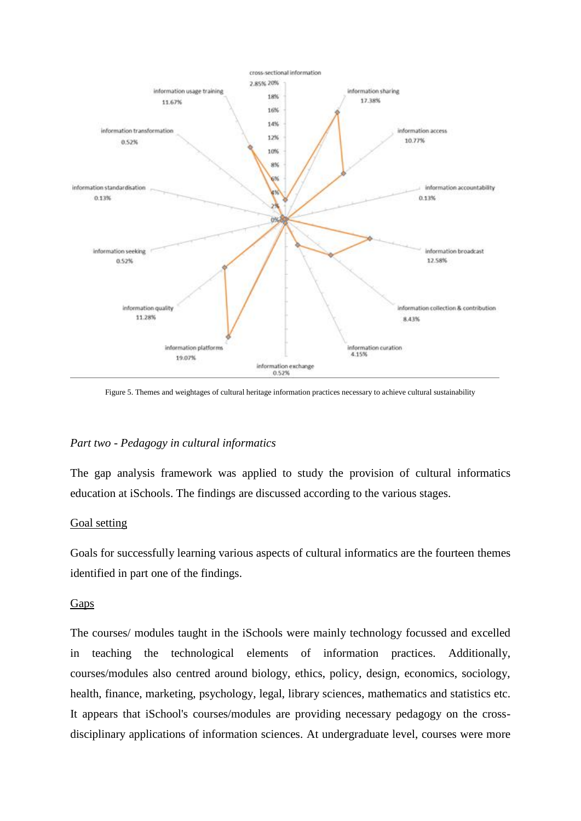

Figure 5. Themes and weightages of cultural heritage information practices necessary to achieve cultural sustainability

### *Part two - Pedagogy in cultural informatics*

The gap analysis framework was applied to study the provision of cultural informatics education at iSchools. The findings are discussed according to the various stages.

#### Goal setting

Goals for successfully learning various aspects of cultural informatics are the fourteen themes identified in part one of the findings.

### **Gaps**

The courses/ modules taught in the iSchools were mainly technology focussed and excelled in teaching the technological elements of information practices. Additionally, courses/modules also centred around biology, ethics, policy, design, economics, sociology, health, finance, marketing, psychology, legal, library sciences, mathematics and statistics etc. It appears that iSchool's courses/modules are providing necessary pedagogy on the crossdisciplinary applications of information sciences. At undergraduate level, courses were more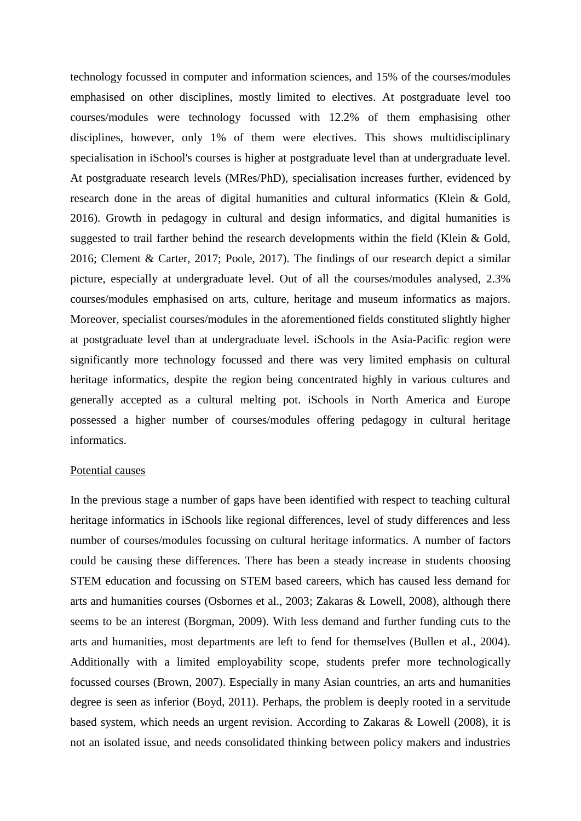technology focussed in computer and information sciences, and 15% of the courses/modules emphasised on other disciplines, mostly limited to electives. At postgraduate level too courses/modules were technology focussed with 12.2% of them emphasising other disciplines, however, only 1% of them were electives. This shows multidisciplinary specialisation in iSchool's courses is higher at postgraduate level than at undergraduate level. At postgraduate research levels (MRes/PhD), specialisation increases further, evidenced by research done in the areas of digital humanities and cultural informatics (Klein & Gold, 2016). Growth in pedagogy in cultural and design informatics, and digital humanities is suggested to trail farther behind the research developments within the field (Klein & Gold, 2016; Clement & Carter, 2017; Poole, 2017). The findings of our research depict a similar picture, especially at undergraduate level. Out of all the courses/modules analysed, 2.3% courses/modules emphasised on arts, culture, heritage and museum informatics as majors. Moreover, specialist courses/modules in the aforementioned fields constituted slightly higher at postgraduate level than at undergraduate level. iSchools in the Asia-Pacific region were significantly more technology focussed and there was very limited emphasis on cultural heritage informatics, despite the region being concentrated highly in various cultures and generally accepted as a cultural melting pot. iSchools in North America and Europe possessed a higher number of courses/modules offering pedagogy in cultural heritage informatics.

#### Potential causes

In the previous stage a number of gaps have been identified with respect to teaching cultural heritage informatics in iSchools like regional differences, level of study differences and less number of courses/modules focussing on cultural heritage informatics. A number of factors could be causing these differences. There has been a steady increase in students choosing STEM education and focussing on STEM based careers, which has caused less demand for arts and humanities courses (Osbornes et al., 2003; Zakaras & Lowell, 2008), although there seems to be an interest (Borgman, 2009). With less demand and further funding cuts to the arts and humanities, most departments are left to fend for themselves (Bullen et al., 2004). Additionally with a limited employability scope, students prefer more technologically focussed courses (Brown, 2007). Especially in many Asian countries, an arts and humanities degree is seen as inferior (Boyd, 2011). Perhaps, the problem is deeply rooted in a servitude based system, which needs an urgent revision. According to Zakaras & Lowell (2008), it is not an isolated issue, and needs consolidated thinking between policy makers and industries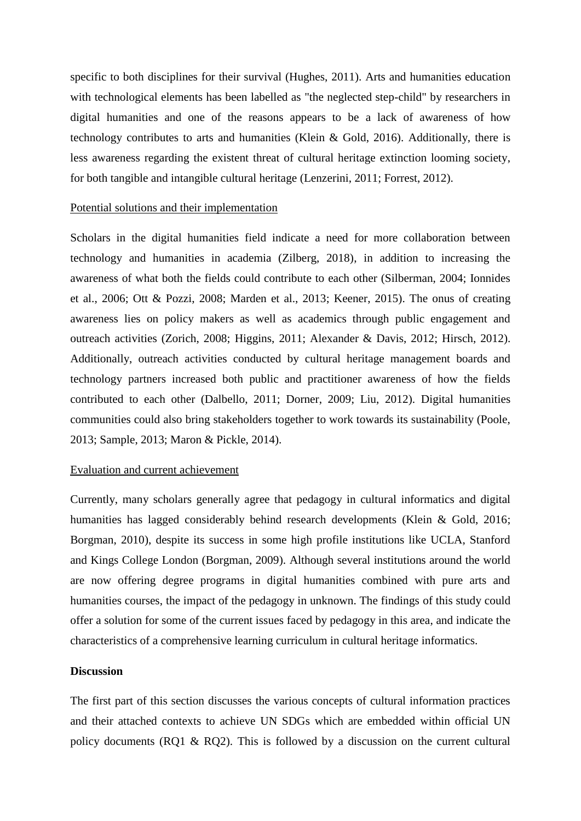specific to both disciplines for their survival (Hughes, 2011). Arts and humanities education with technological elements has been labelled as "the neglected step-child" by researchers in digital humanities and one of the reasons appears to be a lack of awareness of how technology contributes to arts and humanities (Klein & Gold, 2016). Additionally, there is less awareness regarding the existent threat of cultural heritage extinction looming society, for both tangible and intangible cultural heritage (Lenzerini, 2011; Forrest, 2012).

#### Potential solutions and their implementation

Scholars in the digital humanities field indicate a need for more collaboration between technology and humanities in academia (Zilberg, 2018), in addition to increasing the awareness of what both the fields could contribute to each other (Silberman, 2004; Ionnides et al., 2006; Ott & Pozzi, 2008; Marden et al., 2013; Keener, 2015). The onus of creating awareness lies on policy makers as well as academics through public engagement and outreach activities (Zorich, 2008; Higgins, 2011; Alexander & Davis, 2012; Hirsch, 2012). Additionally, outreach activities conducted by cultural heritage management boards and technology partners increased both public and practitioner awareness of how the fields contributed to each other (Dalbello, 2011; Dorner, 2009; Liu, 2012). Digital humanities communities could also bring stakeholders together to work towards its sustainability (Poole, 2013; Sample, 2013; Maron & Pickle, 2014).

### Evaluation and current achievement

Currently, many scholars generally agree that pedagogy in cultural informatics and digital humanities has lagged considerably behind research developments (Klein & Gold, 2016; Borgman, 2010), despite its success in some high profile institutions like UCLA, Stanford and Kings College London (Borgman, 2009). Although several institutions around the world are now offering degree programs in digital humanities combined with pure arts and humanities courses, the impact of the pedagogy in unknown. The findings of this study could offer a solution for some of the current issues faced by pedagogy in this area, and indicate the characteristics of a comprehensive learning curriculum in cultural heritage informatics.

#### **Discussion**

The first part of this section discusses the various concepts of cultural information practices and their attached contexts to achieve UN SDGs which are embedded within official UN policy documents (RO1 & RO2). This is followed by a discussion on the current cultural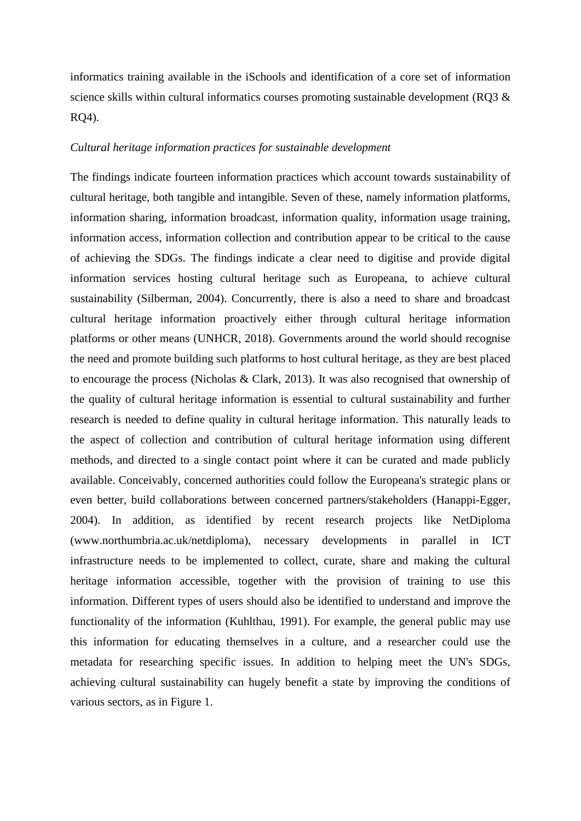informatics training available in the iSchools and identification of a core set of information science skills within cultural informatics courses promoting sustainable development (RQ3 & RQ4).

### *Cultural heritage information practices for sustainable development*

The findings indicate fourteen information practices which account towards sustainability of cultural heritage, both tangible and intangible. Seven of these, namely information platforms, information sharing, information broadcast, information quality, information usage training, information access, information collection and contribution appear to be critical to the cause of achieving the SDGs. The findings indicate a clear need to digitise and provide digital information services hosting cultural heritage such as Europeana, to achieve cultural sustainability (Silberman, 2004). Concurrently, there is also a need to share and broadcast cultural heritage information proactively either through cultural heritage information platforms or other means (UNHCR, 2018). Governments around the world should recognise the need and promote building such platforms to host cultural heritage, as they are best placed to encourage the process (Nicholas & Clark, 2013). It was also recognised that ownership of the quality of cultural heritage information is essential to cultural sustainability and further research is needed to define quality in cultural heritage information. This naturally leads to the aspect of collection and contribution of cultural heritage information using different methods, and directed to a single contact point where it can be curated and made publicly available. Conceivably, concerned authorities could follow the Europeana's strategic plans or even better, build collaborations between concerned partners/stakeholders (Hanappi-Egger, 2004). In addition, as identified by recent research projects like NetDiploma (www.northumbria.ac.uk/netdiploma), necessary developments in parallel in ICT infrastructure needs to be implemented to collect, curate, share and making the cultural heritage information accessible, together with the provision of training to use this information. Different types of users should also be identified to understand and improve the functionality of the information (Kuhlthau, 1991). For example, the general public may use this information for educating themselves in a culture, and a researcher could use the metadata for researching specific issues. In addition to helping meet the UN's SDGs, achieving cultural sustainability can hugely benefit a state by improving the conditions of various sectors, as in Figure 1.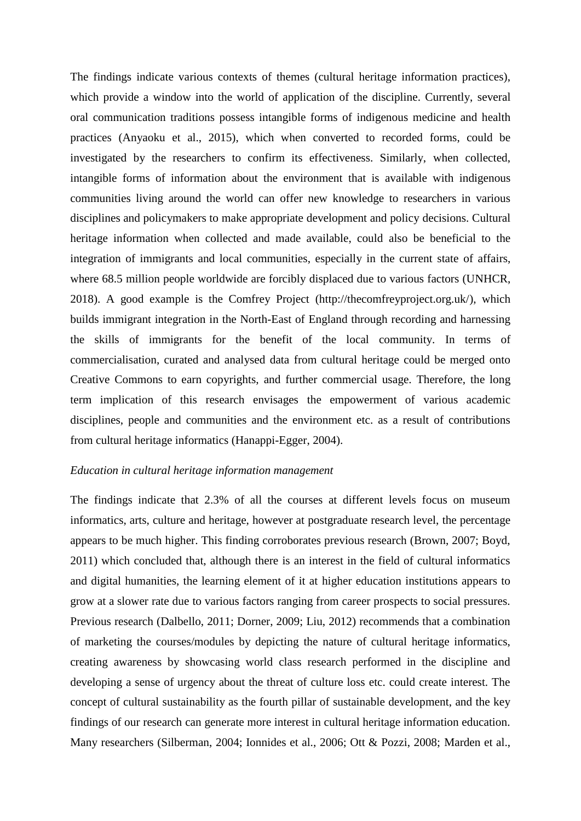The findings indicate various contexts of themes (cultural heritage information practices), which provide a window into the world of application of the discipline. Currently, several oral communication traditions possess intangible forms of indigenous medicine and health practices (Anyaoku et al., 2015), which when converted to recorded forms, could be investigated by the researchers to confirm its effectiveness. Similarly, when collected, intangible forms of information about the environment that is available with indigenous communities living around the world can offer new knowledge to researchers in various disciplines and policymakers to make appropriate development and policy decisions. Cultural heritage information when collected and made available, could also be beneficial to the integration of immigrants and local communities, especially in the current state of affairs, where 68.5 million people worldwide are forcibly displaced due to various factors (UNHCR, 2018). A good example is the Comfrey Project (http://thecomfreyproject.org.uk/), which builds immigrant integration in the North-East of England through recording and harnessing the skills of immigrants for the benefit of the local community. In terms of commercialisation, curated and analysed data from cultural heritage could be merged onto Creative Commons to earn copyrights, and further commercial usage. Therefore, the long term implication of this research envisages the empowerment of various academic disciplines, people and communities and the environment etc. as a result of contributions from cultural heritage informatics (Hanappi-Egger, 2004).

#### *Education in cultural heritage information management*

The findings indicate that 2.3% of all the courses at different levels focus on museum informatics, arts, culture and heritage, however at postgraduate research level, the percentage appears to be much higher. This finding corroborates previous research (Brown, 2007; Boyd, 2011) which concluded that, although there is an interest in the field of cultural informatics and digital humanities, the learning element of it at higher education institutions appears to grow at a slower rate due to various factors ranging from career prospects to social pressures. Previous research (Dalbello, 2011; Dorner, 2009; Liu, 2012) recommends that a combination of marketing the courses/modules by depicting the nature of cultural heritage informatics, creating awareness by showcasing world class research performed in the discipline and developing a sense of urgency about the threat of culture loss etc. could create interest. The concept of cultural sustainability as the fourth pillar of sustainable development, and the key findings of our research can generate more interest in cultural heritage information education. Many researchers (Silberman, 2004; Ionnides et al., 2006; Ott & Pozzi, 2008; Marden et al.,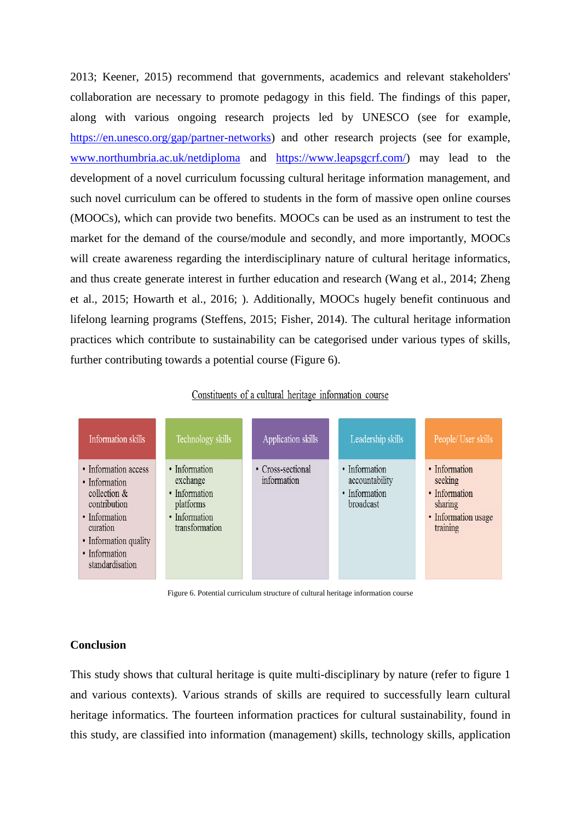2013; Keener, 2015) recommend that governments, academics and relevant stakeholders' collaboration are necessary to promote pedagogy in this field. The findings of this paper, along with various ongoing research projects led by UNESCO (see for example, [https://en.unesco.org/gap/partner-networks\)](https://en.unesco.org/gap/partner-networks) and other research projects (see for example, [www.northumbria.ac.uk/netdiploma](http://www.northumbria.ac.uk/netdiploma) and [https://www.leapsgcrf.com/\)](https://www.leapsgcrf.com/) may lead to the development of a novel curriculum focussing cultural heritage information management, and such novel curriculum can be offered to students in the form of massive open online courses (MOOCs), which can provide two benefits. MOOCs can be used as an instrument to test the market for the demand of the course/module and secondly, and more importantly, MOOCs will create awareness regarding the interdisciplinary nature of cultural heritage informatics, and thus create generate interest in further education and research (Wang et al., 2014; Zheng et al., 2015; Howarth et al., 2016; ). Additionally, MOOCs hugely benefit continuous and lifelong learning programs (Steffens, 2015; Fisher, 2014). The cultural heritage information practices which contribute to sustainability can be categorised under various types of skills, further contributing towards a potential course (Figure 6).

#### Constituents of a cultural heritage information course



Figure 6. Potential curriculum structure of cultural heritage information course

#### **Conclusion**

This study shows that cultural heritage is quite multi-disciplinary by nature (refer to figure 1 and various contexts). Various strands of skills are required to successfully learn cultural heritage informatics. The fourteen information practices for cultural sustainability, found in this study, are classified into information (management) skills, technology skills, application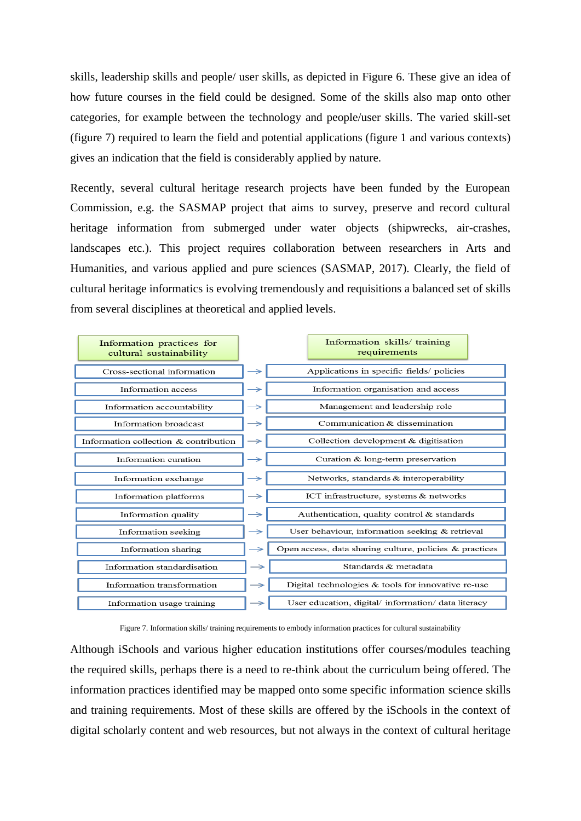skills, leadership skills and people/ user skills, as depicted in Figure 6. These give an idea of how future courses in the field could be designed. Some of the skills also map onto other categories, for example between the technology and people/user skills. The varied skill-set (figure 7) required to learn the field and potential applications (figure 1 and various contexts) gives an indication that the field is considerably applied by nature.

Recently, several cultural heritage research projects have been funded by the European Commission, e.g. the SASMAP project that aims to survey, preserve and record cultural heritage information from submerged under water objects (shipwrecks, air-crashes, landscapes etc.). This project requires collaboration between researchers in Arts and Humanities, and various applied and pure sciences (SASMAP, 2017). Clearly, the field of cultural heritage informatics is evolving tremendously and requisitions a balanced set of skills from several disciplines at theoretical and applied levels.

| Information practices for<br>cultural sustainability |               | Information skills/ training<br>requirements            |
|------------------------------------------------------|---------------|---------------------------------------------------------|
| Cross-sectional information                          |               | Applications in specific fields/ policies               |
| Information access                                   |               | Information organisation and access                     |
| Information accountability                           | →             | Management and leadership role                          |
| Information broadcast                                | →             | Communication & dissemination                           |
| Information collection & contribution                |               | Collection development & digitisation                   |
| Information curation                                 | →             | Curation & long-term preservation                       |
| Information exchange                                 |               | Networks, standards & interoperability                  |
| Information platforms                                | $\rightarrow$ | ICT infrastructure, systems & networks                  |
| Information quality                                  | →             | Authentication, quality control & standards             |
| Information seeking                                  | $\rightarrow$ | User behaviour, information seeking & retrieval         |
| Information sharing                                  | $\rightarrow$ | Open access, data sharing culture, policies & practices |
| Information standardisation                          | $\rightarrow$ | Standards & metadata                                    |
| Information transformation                           | →             | Digital technologies $&$ tools for innovative re-use    |
| Information usage training                           | →             | User education, digital/ information/ data literacy     |

Figure 7. Information skills/ training requirements to embody information practices for cultural sustainability

Although iSchools and various higher education institutions offer courses/modules teaching the required skills, perhaps there is a need to re-think about the curriculum being offered. The information practices identified may be mapped onto some specific information science skills and training requirements. Most of these skills are offered by the iSchools in the context of digital scholarly content and web resources, but not always in the context of cultural heritage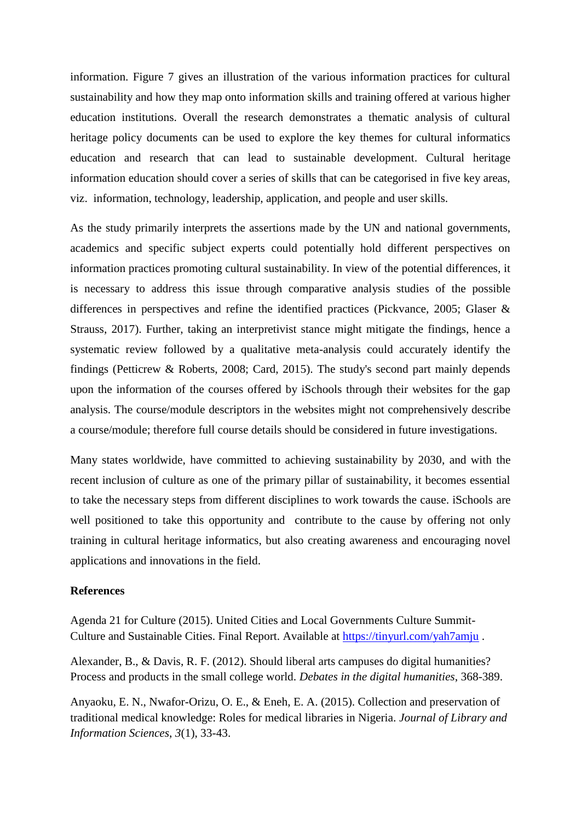information. Figure 7 gives an illustration of the various information practices for cultural sustainability and how they map onto information skills and training offered at various higher education institutions. Overall the research demonstrates a thematic analysis of cultural heritage policy documents can be used to explore the key themes for cultural informatics education and research that can lead to sustainable development. Cultural heritage information education should cover a series of skills that can be categorised in five key areas, viz. information, technology, leadership, application, and people and user skills.

As the study primarily interprets the assertions made by the UN and national governments, academics and specific subject experts could potentially hold different perspectives on information practices promoting cultural sustainability. In view of the potential differences, it is necessary to address this issue through comparative analysis studies of the possible differences in perspectives and refine the identified practices (Pickvance, 2005; Glaser & Strauss, 2017). Further, taking an interpretivist stance might mitigate the findings, hence a systematic review followed by a qualitative meta-analysis could accurately identify the findings (Petticrew & Roberts, 2008; Card, 2015). The study's second part mainly depends upon the information of the courses offered by iSchools through their websites for the gap analysis. The course/module descriptors in the websites might not comprehensively describe a course/module; therefore full course details should be considered in future investigations.

Many states worldwide, have committed to achieving sustainability by 2030, and with the recent inclusion of culture as one of the primary pillar of sustainability, it becomes essential to take the necessary steps from different disciplines to work towards the cause. iSchools are well positioned to take this opportunity and contribute to the cause by offering not only training in cultural heritage informatics, but also creating awareness and encouraging novel applications and innovations in the field.

#### **References**

Agenda 21 for Culture (2015). United Cities and Local Governments Culture Summit-Culture and Sustainable Cities. Final Report. Available at<https://tinyurl.com/yah7amju> .

Alexander, B., & Davis, R. F. (2012). Should liberal arts campuses do digital humanities? Process and products in the small college world. *Debates in the digital humanities*, 368-389.

Anyaoku, E. N., Nwafor-Orizu, O. E., & Eneh, E. A. (2015). Collection and preservation of traditional medical knowledge: Roles for medical libraries in Nigeria. *Journal of Library and Information Sciences*, *3*(1), 33-43.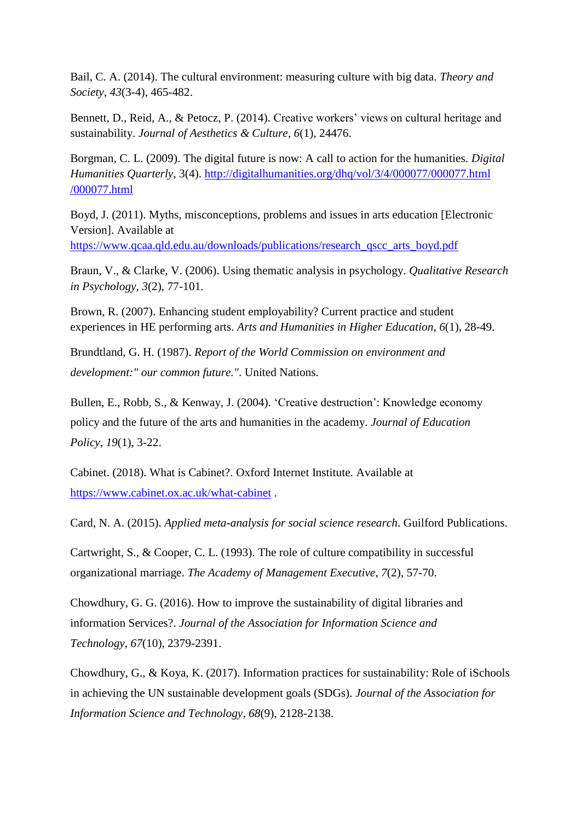Bail, C. A. (2014). The cultural environment: measuring culture with big data. *Theory and Society*, *43*(3-4), 465-482.

Bennett, D., Reid, A., & Petocz, P. (2014). Creative workers' views on cultural heritage and sustainability. *Journal of Aesthetics & Culture*, *6*(1), 24476.

Borgman, C. L. (2009). The digital future is now: A call to action for the humanities. *Digital Humanities Quarterly*, 3(4). [http://digitalhumanities.org/dhq/vol/3/4/000077/000077.html](http://digitalhumanities.org/dhq/vol/3/4/000077/000077.html%20/000077.html)  [/000077.html](http://digitalhumanities.org/dhq/vol/3/4/000077/000077.html%20/000077.html)

Boyd, J. (2011). Myths, misconceptions, problems and issues in arts education [Electronic Version]. Available at

[https://www.qcaa.qld.edu.au/downloads/publications/research\\_qscc\\_arts\\_boyd.pdf](https://www.qcaa.qld.edu.au/downloads/publications/research_qscc_arts_boyd.pdf)

Braun, V., & Clarke, V. (2006). Using thematic analysis in psychology. *Qualitative Research in Psychology*, *3*(2), 77-101.

Brown, R. (2007). Enhancing student employability? Current practice and student experiences in HE performing arts. *Arts and Humanities in Higher Education*, *6*(1), 28-49.

Brundtland, G. H. (1987). *Report of the World Commission on environment and development:" our common future."*. United Nations.

Bullen, E., Robb, S., & Kenway, J. (2004). 'Creative destruction': Knowledge economy policy and the future of the arts and humanities in the academy. *Journal of Education Policy*, *19*(1), 3-22.

Cabinet. (2018). What is Cabinet?. Oxford Internet Institute. Available at <https://www.cabinet.ox.ac.uk/what-cabinet> .

Card, N. A. (2015). *Applied meta-analysis for social science research*. Guilford Publications.

Cartwright, S., & Cooper, C. L. (1993). The role of culture compatibility in successful organizational marriage. *The Academy of Management Executive*, *7*(2), 57-70.

Chowdhury, G. G. (2016). How to improve the sustainability of digital libraries and information Services?. *Journal of the Association for Information Science and Technology*, *67*(10), 2379-2391.

Chowdhury, G., & Koya, K. (2017). Information practices for sustainability: Role of iSchools in achieving the UN sustainable development goals (SDGs). *Journal of the Association for Information Science and Technology*, *68*(9), 2128-2138.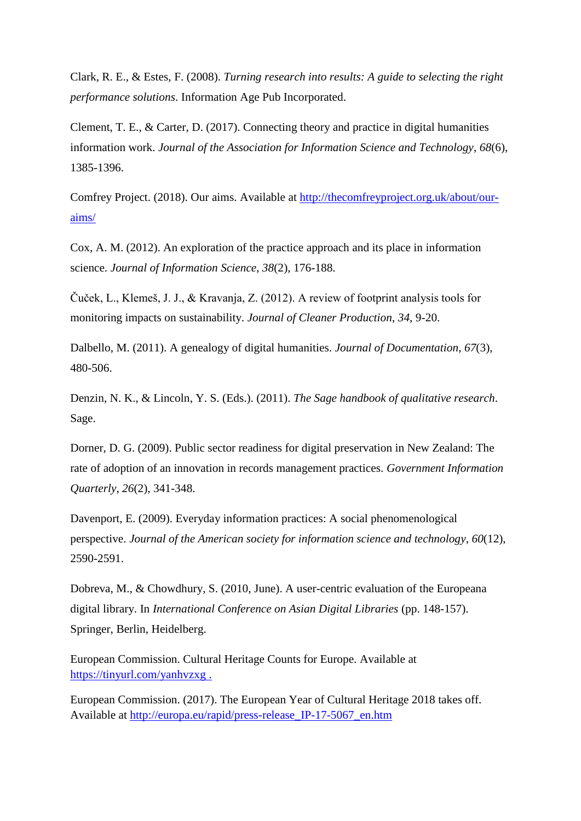Clark, R. E., & Estes, F. (2008). *Turning research into results: A guide to selecting the right performance solutions*. Information Age Pub Incorporated.

Clement, T. E., & Carter, D. (2017). Connecting theory and practice in digital humanities information work. *Journal of the Association for Information Science and Technology*, *68*(6), 1385-1396.

Comfrey Project. (2018). Our aims. Available at [http://thecomfreyproject.org.uk/about/our](http://thecomfreyproject.org.uk/about/our-aims/)[aims/](http://thecomfreyproject.org.uk/about/our-aims/)

Cox, A. M. (2012). An exploration of the practice approach and its place in information science. *Journal of Information Science*, *38*(2), 176-188.

Čuček, L., Klemeš, J. J., & Kravanja, Z. (2012). A review of footprint analysis tools for monitoring impacts on sustainability. *Journal of Cleaner Production*, *34*, 9-20.

Dalbello, M. (2011). A genealogy of digital humanities. *Journal of Documentation*, *67*(3), 480-506.

Denzin, N. K., & Lincoln, Y. S. (Eds.). (2011). *The Sage handbook of qualitative research*. Sage.

Dorner, D. G. (2009). Public sector readiness for digital preservation in New Zealand: The rate of adoption of an innovation in records management practices. *Government Information Quarterly*, *26*(2), 341-348.

Davenport, E. (2009). Everyday information practices: A social phenomenological perspective. *Journal of the American society for information science and technology*, *60*(12), 2590-2591.

Dobreva, M., & Chowdhury, S. (2010, June). A user-centric evaluation of the Europeana digital library. In *International Conference on Asian Digital Libraries* (pp. 148-157). Springer, Berlin, Heidelberg.

European Commission. Cultural Heritage Counts for Europe. Available at <https://tinyurl.com/yanhvzxg> .

European Commission. (2017). The European Year of Cultural Heritage 2018 takes off. Available at [http://europa.eu/rapid/press-release\\_IP-17-5067\\_en.htm](http://europa.eu/rapid/press-release_IP-17-5067_en.htm)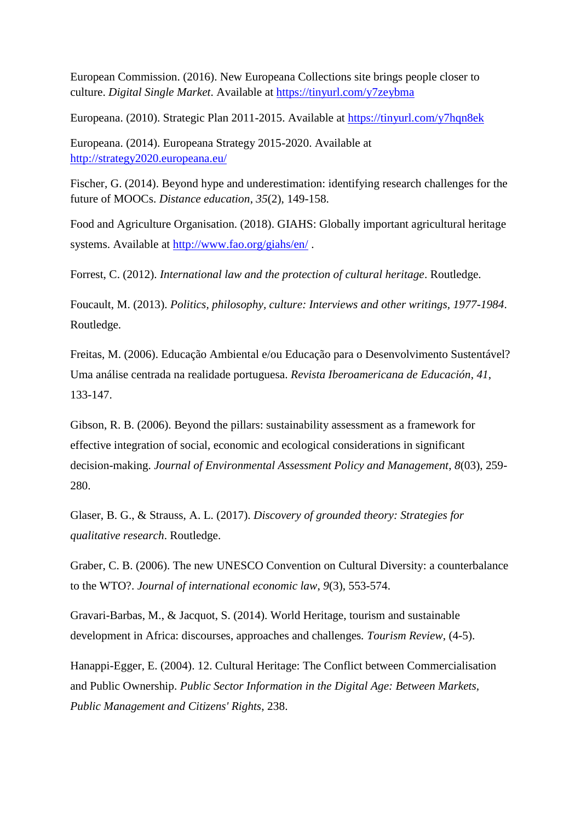European Commission. (2016). New Europeana Collections site brings people closer to culture. *Digital Single Market*. Available at<https://tinyurl.com/y7zeybma>

Europeana. (2010). Strategic Plan 2011-2015. Available at <https://tinyurl.com/y7hqn8ek>

Europeana. (2014). Europeana Strategy 2015-2020. Available at <http://strategy2020.europeana.eu/>

Fischer, G. (2014). Beyond hype and underestimation: identifying research challenges for the future of MOOCs. *Distance education*, *35*(2), 149-158.

Food and Agriculture Organisation. (2018). GIAHS: Globally important agricultural heritage systems. Available at<http://www.fao.org/giahs/en/> .

Forrest, C. (2012). *International law and the protection of cultural heritage*. Routledge.

Foucault, M. (2013). *Politics, philosophy, culture: Interviews and other writings, 1977-1984*. Routledge.

Freitas, M. (2006). Educação Ambiental e/ou Educação para o Desenvolvimento Sustentável? Uma análise centrada na realidade portuguesa. *Revista Iberoamericana de Educación*, *41*, 133-147.

Gibson, R. B. (2006). Beyond the pillars: sustainability assessment as a framework for effective integration of social, economic and ecological considerations in significant decision-making. *Journal of Environmental Assessment Policy and Management*, *8*(03), 259- 280.

Glaser, B. G., & Strauss, A. L. (2017). *Discovery of grounded theory: Strategies for qualitative research*. Routledge.

Graber, C. B. (2006). The new UNESCO Convention on Cultural Diversity: a counterbalance to the WTO?. *Journal of international economic law*, *9*(3), 553-574.

Gravari-Barbas, M., & Jacquot, S. (2014). World Heritage, tourism and sustainable development in Africa: discourses, approaches and challenges*. Tourism Review*, (4-5).

Hanappi-Egger, E. (2004). 12. Cultural Heritage: The Conflict between Commercialisation and Public Ownership. *Public Sector Information in the Digital Age: Between Markets, Public Management and Citizens' Rights*, 238.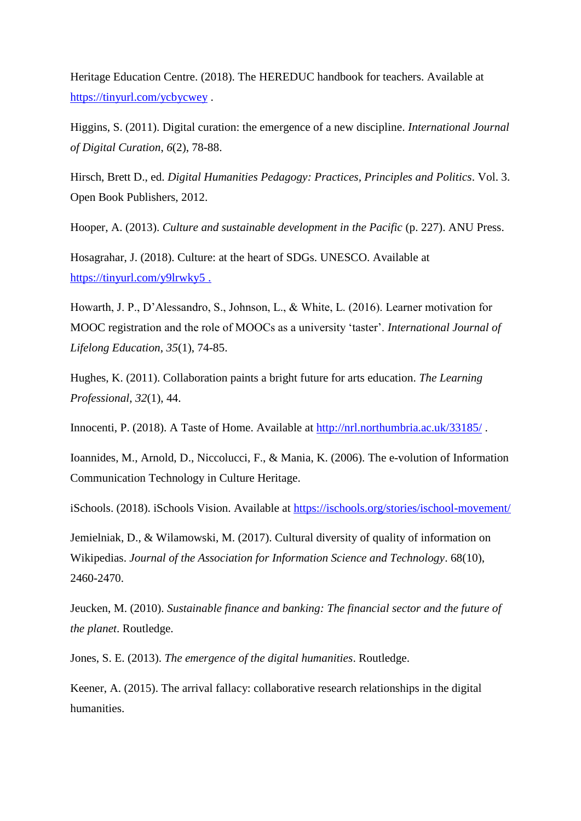Heritage Education Centre. (2018). The HEREDUC handbook for teachers. Available at <https://tinyurl.com/ycbycwey> .

Higgins, S. (2011). Digital curation: the emergence of a new discipline. *International Journal of Digital Curation*, *6*(2), 78-88.

Hirsch, Brett D., ed. *Digital Humanities Pedagogy: Practices, Principles and Politics*. Vol. 3. Open Book Publishers, 2012.

Hooper, A. (2013). *Culture and sustainable development in the Pacific* (p. 227). ANU Press.

Hosagrahar, J. (2018). Culture: at the heart of SDGs. UNESCO. Available at <https://tinyurl.com/y9lrwky5> .

Howarth, J. P., D'Alessandro, S., Johnson, L., & White, L. (2016). Learner motivation for MOOC registration and the role of MOOCs as a university 'taster'. *International Journal of Lifelong Education*, *35*(1), 74-85.

Hughes, K. (2011). Collaboration paints a bright future for arts education. *The Learning Professional*, *32*(1), 44.

Innocenti, P. (2018). A Taste of Home. Available at<http://nrl.northumbria.ac.uk/33185/>.

Ioannides, M., Arnold, D., Niccolucci, F., & Mania, K. (2006). The e-volution of Information Communication Technology in Culture Heritage.

iSchools. (2018). iSchools Vision. Available at<https://ischools.org/stories/ischool-movement/>

Jemielniak, D., & Wilamowski, M. (2017). Cultural diversity of quality of information on Wikipedias. *Journal of the Association for Information Science and Technology*. 68(10), 2460-2470.

Jeucken, M. (2010). *Sustainable finance and banking: The financial sector and the future of the planet*. Routledge.

Jones, S. E. (2013). *The emergence of the digital humanities*. Routledge.

Keener, A. (2015). The arrival fallacy: collaborative research relationships in the digital humanities.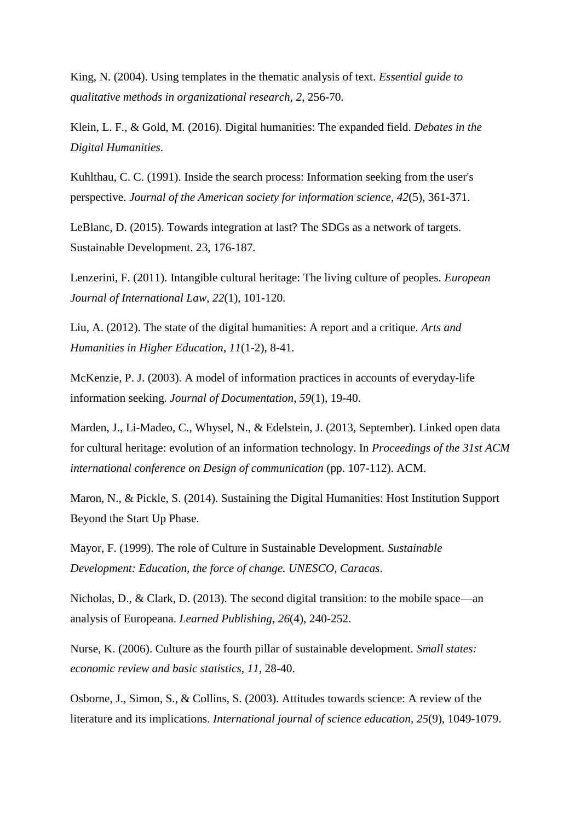King, N. (2004). Using templates in the thematic analysis of text. *Essential guide to qualitative methods in organizational research*, *2*, 256-70.

Klein, L. F., & Gold, M. (2016). Digital humanities: The expanded field. *Debates in the Digital Humanities*.

Kuhlthau, C. C. (1991). Inside the search process: Information seeking from the user's perspective. *Journal of the American society for information science*, *42*(5), 361-371.

LeBlanc, D. (2015). Towards integration at last? The SDGs as a network of targets. Sustainable Development. 23, 176-187.

Lenzerini, F. (2011). Intangible cultural heritage: The living culture of peoples. *European Journal of International Law*, *22*(1), 101-120.

Liu, A. (2012). The state of the digital humanities: A report and a critique. *Arts and Humanities in Higher Education*, *11*(1-2), 8-41.

McKenzie, P. J. (2003). A model of information practices in accounts of everyday-life information seeking. *Journal of Documentation*, *59*(1), 19-40.

Marden, J., Li-Madeo, C., Whysel, N., & Edelstein, J. (2013, September). Linked open data for cultural heritage: evolution of an information technology. In *Proceedings of the 31st ACM international conference on Design of communication* (pp. 107-112). ACM.

Maron, N., & Pickle, S. (2014). Sustaining the Digital Humanities: Host Institution Support Beyond the Start Up Phase.

Mayor, F. (1999). The role of Culture in Sustainable Development. *Sustainable Development: Education, the force of change. UNESCO, Caracas*.

Nicholas, D., & Clark, D. (2013). The second digital transition: to the mobile space—an analysis of Europeana. *Learned Publishing*, *26*(4), 240-252.

Nurse, K. (2006). Culture as the fourth pillar of sustainable development. *Small states: economic review and basic statistics*, *11*, 28-40.

Osborne, J., Simon, S., & Collins, S. (2003). Attitudes towards science: A review of the literature and its implications. *International journal of science education*, *25*(9), 1049-1079.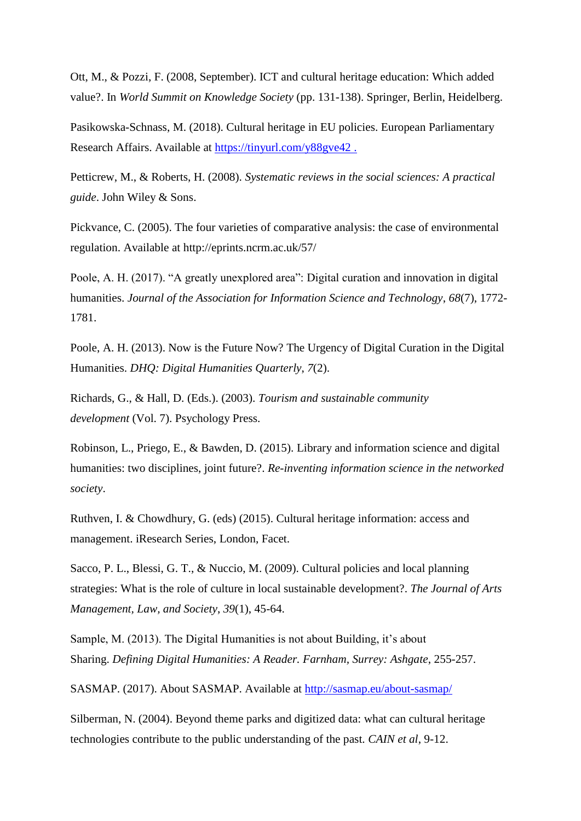Ott, M., & Pozzi, F. (2008, September). ICT and cultural heritage education: Which added value?. In *World Summit on Knowledge Society* (pp. 131-138). Springer, Berlin, Heidelberg.

Pasikowska-Schnass, M. (2018). Cultural heritage in EU policies. European Parliamentary Research Affairs. Available at<https://tinyurl.com/y88gve42> .

Petticrew, M., & Roberts, H. (2008). *Systematic reviews in the social sciences: A practical guide*. John Wiley & Sons.

Pickvance, C. (2005). The four varieties of comparative analysis: the case of environmental regulation. Available at http://eprints.ncrm.ac.uk/57/

Poole, A. H. (2017). "A greatly unexplored area": Digital curation and innovation in digital humanities. *Journal of the Association for Information Science and Technology*, *68*(7), 1772- 1781.

Poole, A. H. (2013). Now is the Future Now? The Urgency of Digital Curation in the Digital Humanities. *DHQ: Digital Humanities Quarterly*, *7*(2).

Richards, G., & Hall, D. (Eds.). (2003). *Tourism and sustainable community development* (Vol. 7). Psychology Press.

Robinson, L., Priego, E., & Bawden, D. (2015). Library and information science and digital humanities: two disciplines, joint future?. *Re-inventing information science in the networked society*.

Ruthven, I. & Chowdhury, G. (eds) (2015). Cultural heritage information: access and management. iResearch Series, London, Facet.

Sacco, P. L., Blessi, G. T., & Nuccio, M. (2009). Cultural policies and local planning strategies: What is the role of culture in local sustainable development?. *The Journal of Arts Management, Law, and Society*, *39*(1), 45-64.

Sample, M. (2013). The Digital Humanities is not about Building, it's about Sharing. *Defining Digital Humanities: A Reader. Farnham, Surrey: Ashgate*, 255-257.

SASMAP. (2017). About SASMAP. Available at<http://sasmap.eu/about-sasmap/>

Silberman, N. (2004). Beyond theme parks and digitized data: what can cultural heritage technologies contribute to the public understanding of the past. *CAIN et al*, 9-12.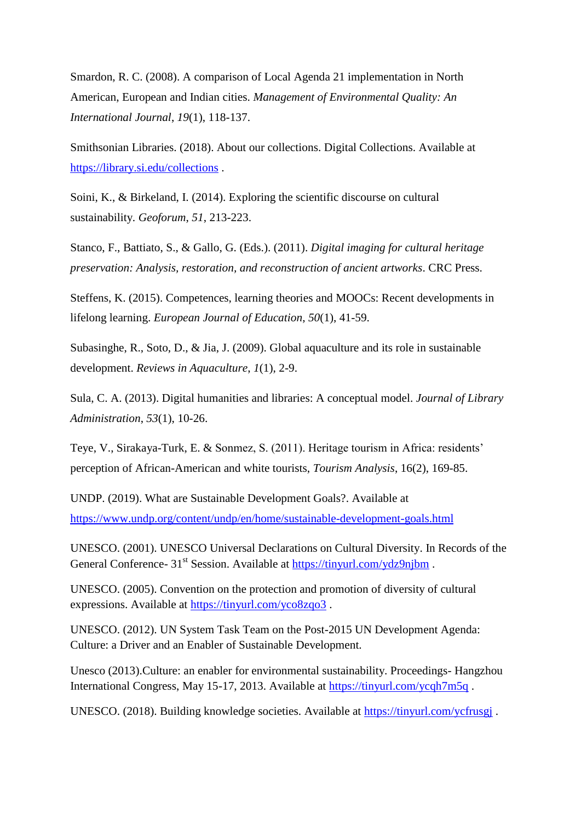Smardon, R. C. (2008). A comparison of Local Agenda 21 implementation in North American, European and Indian cities. *Management of Environmental Quality: An International Journal*, *19*(1), 118-137.

Smithsonian Libraries. (2018). About our collections. Digital Collections. Available at <https://library.si.edu/collections> .

Soini, K., & Birkeland, I. (2014). Exploring the scientific discourse on cultural sustainability. *Geoforum*, *51*, 213-223.

Stanco, F., Battiato, S., & Gallo, G. (Eds.). (2011). *Digital imaging for cultural heritage preservation: Analysis, restoration, and reconstruction of ancient artworks*. CRC Press.

Steffens, K. (2015). Competences, learning theories and MOOCs: Recent developments in lifelong learning. *European Journal of Education*, *50*(1), 41-59.

Subasinghe, R., Soto, D., & Jia, J. (2009). Global aquaculture and its role in sustainable development. *Reviews in Aquaculture*, *1*(1), 2-9.

Sula, C. A. (2013). Digital humanities and libraries: A conceptual model. *Journal of Library Administration*, *53*(1), 10-26.

Teye, V., Sirakaya-Turk, E. & Sonmez, S. (2011). Heritage tourism in Africa: residents' perception of African-American and white tourists, *Tourism Analysis*, 16(2), 169-85.

UNDP. (2019). What are Sustainable Development Goals?. Available at <https://www.undp.org/content/undp/en/home/sustainable-development-goals.html>

UNESCO. (2001). UNESCO Universal Declarations on Cultural Diversity. In Records of the General Conference- 31<sup>st</sup> Session. Available at<https://tinyurl.com/ydz9njbm>.

UNESCO. (2005). Convention on the protection and promotion of diversity of cultural expressions. Available at<https://tinyurl.com/yco8zqo3> .

UNESCO. (2012). UN System Task Team on the Post-2015 UN Development Agenda: Culture: a Driver and an Enabler of Sustainable Development.

Unesco (2013).Culture: an enabler for environmental sustainability. Proceedings- Hangzhou International Congress, May 15-17, 2013. Available at<https://tinyurl.com/ycqh7m5q> .

UNESCO. (2018). Building knowledge societies. Available at<https://tinyurl.com/ycfrusgj> .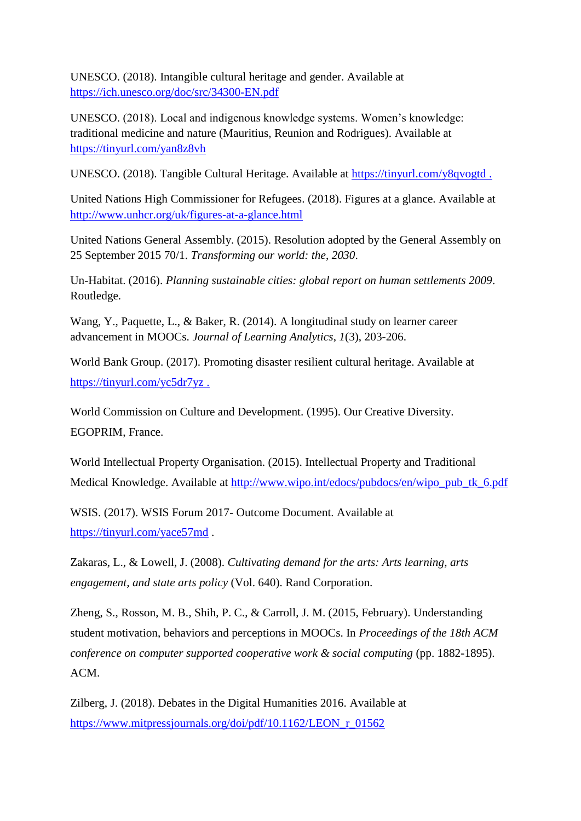UNESCO. (2018). Intangible cultural heritage and gender. Available at <https://ich.unesco.org/doc/src/34300-EN.pdf>

UNESCO. (2018). Local and indigenous knowledge systems. Women's knowledge: traditional medicine and nature (Mauritius, Reunion and Rodrigues). Available at <https://tinyurl.com/yan8z8vh>

UNESCO. (2018). Tangible Cultural Heritage. Available at<https://tinyurl.com/y8qvogtd> .

United Nations High Commissioner for Refugees. (2018). Figures at a glance. Available at <http://www.unhcr.org/uk/figures-at-a-glance.html>

United Nations General Assembly. (2015). Resolution adopted by the General Assembly on 25 September 2015 70/1. *Transforming our world: the*, *2030*.

Un-Habitat. (2016). *Planning sustainable cities: global report on human settlements 2009*. Routledge.

Wang, Y., Paquette, L., & Baker, R. (2014). A longitudinal study on learner career advancement in MOOCs. *Journal of Learning Analytics*, *1*(3), 203-206.

World Bank Group. (2017). Promoting disaster resilient cultural heritage. Available at <https://tinyurl.com/yc5dr7yz> .

World Commission on Culture and Development. (1995). Our Creative Diversity. EGOPRIM, France.

World Intellectual Property Organisation. (2015). Intellectual Property and Traditional Medical Knowledge. Available at [http://www.wipo.int/edocs/pubdocs/en/wipo\\_pub\\_tk\\_6.pdf](http://www.wipo.int/edocs/pubdocs/en/wipo_pub_tk_6.pdf)

WSIS. (2017). WSIS Forum 2017- Outcome Document. Available at <https://tinyurl.com/yace57md> .

Zakaras, L., & Lowell, J. (2008). *Cultivating demand for the arts: Arts learning, arts engagement, and state arts policy* (Vol. 640). Rand Corporation.

Zheng, S., Rosson, M. B., Shih, P. C., & Carroll, J. M. (2015, February). Understanding student motivation, behaviors and perceptions in MOOCs. In *Proceedings of the 18th ACM conference on computer supported cooperative work & social computing* (pp. 1882-1895). ACM.

Zilberg, J. (2018). Debates in the Digital Humanities 2016. Available at [https://www.mitpressjournals.org/doi/pdf/10.1162/LEON\\_r\\_01562](https://www.mitpressjournals.org/doi/pdf/10.1162/LEON_r_01562)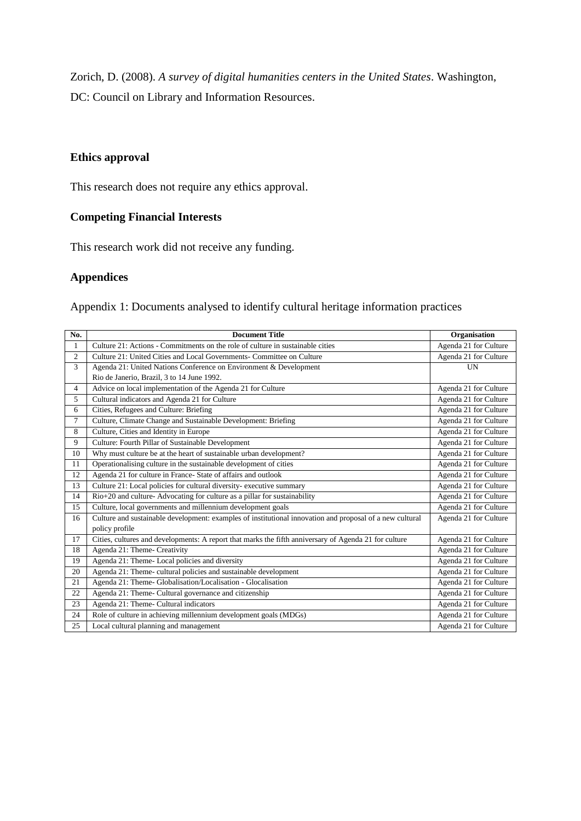Zorich, D. (2008). *A survey of digital humanities centers in the United States*. Washington, DC: Council on Library and Information Resources.

# **Ethics approval**

This research does not require any ethics approval.

# **Competing Financial Interests**

This research work did not receive any funding.

# **Appendices**

Appendix 1: Documents analysed to identify cultural heritage information practices

| No.            | <b>Document Title</b>                                                                                                      | Organisation          |
|----------------|----------------------------------------------------------------------------------------------------------------------------|-----------------------|
| $\mathbf{1}$   | Culture 21: Actions - Commitments on the role of culture in sustainable cities                                             | Agenda 21 for Culture |
| $\overline{c}$ | Culture 21: United Cities and Local Governments- Committee on Culture                                                      | Agenda 21 for Culture |
| 3              | Agenda 21: United Nations Conference on Environment & Development                                                          | <b>UN</b>             |
|                | Rio de Janerio, Brazil, 3 to 14 June 1992.                                                                                 |                       |
| $\overline{4}$ | Advice on local implementation of the Agenda 21 for Culture                                                                | Agenda 21 for Culture |
| 5              | Cultural indicators and Agenda 21 for Culture                                                                              | Agenda 21 for Culture |
| 6              | Cities, Refugees and Culture: Briefing                                                                                     | Agenda 21 for Culture |
| $\tau$         | Culture, Climate Change and Sustainable Development: Briefing                                                              | Agenda 21 for Culture |
| 8              | Culture, Cities and Identity in Europe                                                                                     | Agenda 21 for Culture |
| 9              | Culture: Fourth Pillar of Sustainable Development                                                                          | Agenda 21 for Culture |
| 10             | Why must culture be at the heart of sustainable urban development?                                                         | Agenda 21 for Culture |
| 11             | Operationalising culture in the sustainable development of cities                                                          | Agenda 21 for Culture |
| 12             | Agenda 21 for culture in France- State of affairs and outlook                                                              | Agenda 21 for Culture |
| 13             | Culture 21: Local policies for cultural diversity- executive summary                                                       | Agenda 21 for Culture |
| 14             | Rio+20 and culture-Advocating for culture as a pillar for sustainability                                                   | Agenda 21 for Culture |
| 15             | Culture, local governments and millennium development goals                                                                | Agenda 21 for Culture |
| 16             | Culture and sustainable development: examples of institutional innovation and proposal of a new cultural<br>policy profile | Agenda 21 for Culture |
| 17             | Cities, cultures and developments: A report that marks the fifth anniversary of Agenda 21 for culture                      | Agenda 21 for Culture |
| 18             | Agenda 21: Theme- Creativity                                                                                               | Agenda 21 for Culture |
| 19             | Agenda 21: Theme- Local policies and diversity                                                                             | Agenda 21 for Culture |
| 20             | Agenda 21: Theme- cultural policies and sustainable development                                                            | Agenda 21 for Culture |
| 21             | Agenda 21: Theme- Globalisation/Localisation - Glocalisation                                                               | Agenda 21 for Culture |
| 22             | Agenda 21: Theme- Cultural governance and citizenship                                                                      | Agenda 21 for Culture |
| 23             | Agenda 21: Theme- Cultural indicators                                                                                      | Agenda 21 for Culture |
| 24             | Role of culture in achieving millennium development goals (MDGs)                                                           | Agenda 21 for Culture |
| 25             | Local cultural planning and management                                                                                     | Agenda 21 for Culture |